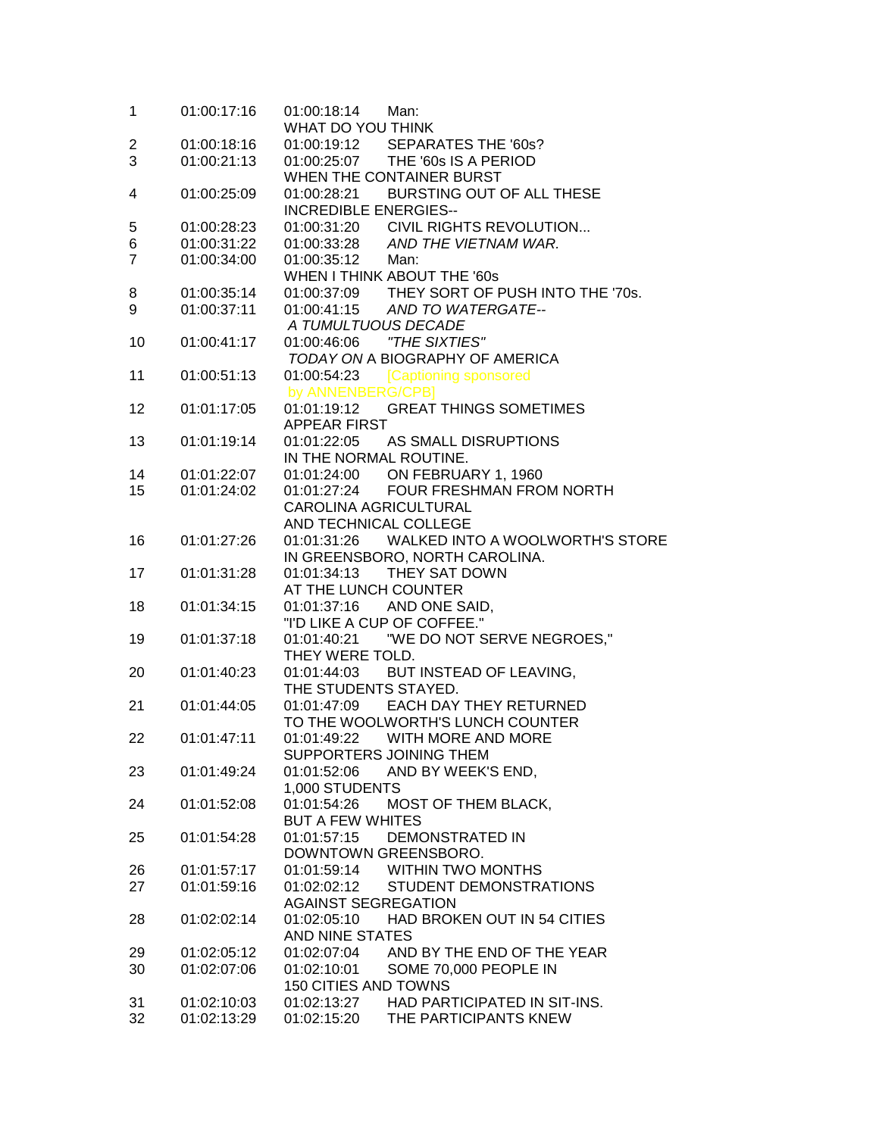| 1              | 01:00:17:16 | 01:00:18:14<br>Man:<br>WHAT DO YOU THINK       |
|----------------|-------------|------------------------------------------------|
|                |             |                                                |
| 2              | 01:00:18:16 | 01:00:19:12 SEPARATES THE '60s?                |
| 3              | 01:00:21:13 | 01:00:25:07 THE '60s IS A PERIOD               |
|                |             | WHEN THE CONTAINER BURST                       |
| 4              | 01:00:25:09 | 01:00:28:21 BURSTING OUT OF ALL THESE          |
|                |             | <b>INCREDIBLE ENERGIES--</b>                   |
| 5              | 01:00:28:23 | 01:00:31:20 CIVIL RIGHTS REVOLUTION            |
| 6              | 01:00:31:22 | 01:00:33:28 AND THE VIETNAM WAR.               |
| $\overline{7}$ | 01:00:34:00 | 01:00:35:12 Man:                               |
|                |             | WHEN I THINK ABOUT THE '60s                    |
| 8              | 01:00:35:14 | 01:00:37:09 THEY SORT OF PUSH INTO THE '70s.   |
| 9              | 01:00:37:11 | 01:00:41:15 AND TO WATERGATE--                 |
|                |             | A TUMULTUOUS DECADE                            |
| 10             | 01:00:41:17 |                                                |
|                |             | TODAY ON A BIOGRAPHY OF AMERICA                |
| 11             | 01:00:51:13 | 01:00:54:23 [Captioning sponsored              |
|                |             | by ANNENBERG/CPB]                              |
| 12             | 01:01:17:05 | <b>GREAT THINGS SOMETIMES</b><br>01:01:19:12   |
|                |             | APPEAR FIRST                                   |
| 13             | 01:01:19:14 | 01:01:22:05 AS SMALL DISRUPTIONS               |
|                |             | IN THE NORMAL ROUTINE.                         |
| 14             | 01:01:22:07 | 01:01:24:00 ON FEBRUARY 1, 1960                |
|                |             | 01:01:27:24 FOUR FRESHMAN FROM NORTH           |
| 15             | 01:01:24:02 |                                                |
|                |             | CAROLINA AGRICULTURAL                          |
|                |             | AND TECHNICAL COLLEGE                          |
| 16             | 01:01:27:26 | WALKED INTO A WOOLWORTH'S STORE<br>01:01:31:26 |
|                |             | IN GREENSBORO, NORTH CAROLINA.                 |
| 17             | 01:01:31:28 | THEY SAT DOWN<br>01:01:34:13                   |
|                |             | AT THE LUNCH COUNTER                           |
| 18             | 01:01:34:15 | 01:01:37:16 AND ONE SAID,                      |
|                |             | "I'D LIKE A CUP OF COFFEE."                    |
| 19             | 01:01:37:18 |                                                |
|                |             | THEY WERE TOLD.                                |
| 20             | 01:01:40:23 | 01:01:44:03 BUT INSTEAD OF LEAVING,            |
|                |             | THE STUDENTS STAYED.                           |
| 21             | 01:01:44:05 | 01:01:47:09 EACH DAY THEY RETURNED             |
|                |             | TO THE WOOLWORTH'S LUNCH COUNTER               |
| 22             | 01:01:47:11 | 01:01:49:22<br>WITH MORE AND MORE              |
|                |             | SUPPORTERS JOINING THEM                        |
| 23             | 01:01:49:24 | 01:01:52:06<br>AND BY WEEK'S END.              |
|                |             | 1,000 STUDENTS                                 |
| 24             | 01:01:52:08 | 01:01:54:26<br><b>MOST OF THEM BLACK,</b>      |
|                |             | <b>BUT A FEW WHITES</b>                        |
|                |             | <b>DEMONSTRATED IN</b>                         |
| 25             | 01:01:54:28 | 01:01:57:15                                    |
|                |             | DOWNTOWN GREENSBORO.                           |
| 26             | 01:01:57:17 | 01:01:59:14<br><b>WITHIN TWO MONTHS</b>        |
| 27             | 01:01:59:16 | <b>STUDENT DEMONSTRATIONS</b><br>01:02:02:12   |
|                |             | <b>AGAINST SEGREGATION</b>                     |
| 28             | 01:02:02:14 | HAD BROKEN OUT IN 54 CITIES<br>01:02:05:10     |
|                |             | AND NINE STATES                                |
| 29             | 01:02:05:12 | 01:02:07:04<br>AND BY THE END OF THE YEAR      |
| 30             | 01:02:07:06 | 01:02:10:01<br>SOME 70,000 PEOPLE IN           |
|                |             | <b>150 CITIES AND TOWNS</b>                    |
| 31             | 01:02:10:03 | HAD PARTICIPATED IN SIT-INS.<br>01:02:13:27    |
| 32             | 01:02:13:29 | THE PARTICIPANTS KNEW<br>01:02:15:20           |
|                |             |                                                |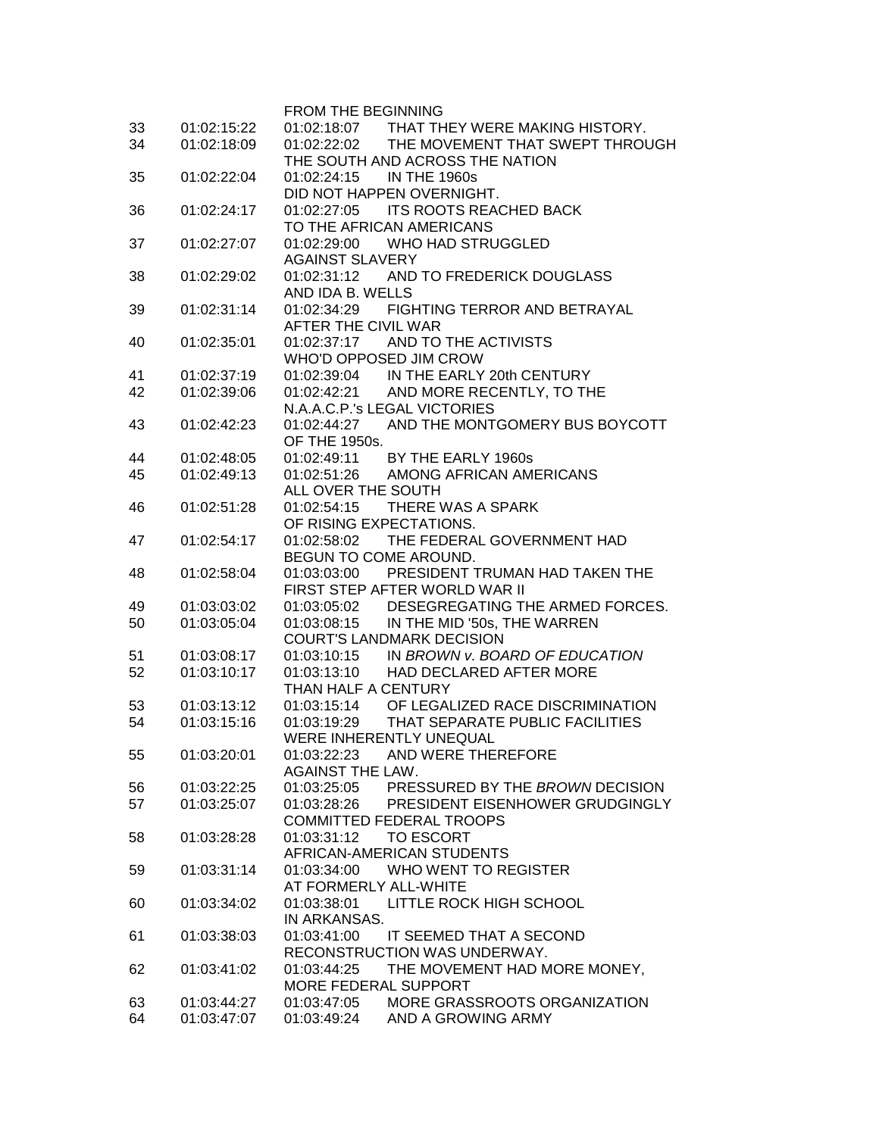|    |             | <b>FROM THE BEGINNING</b>                      |
|----|-------------|------------------------------------------------|
| 33 | 01:02:15:22 | 01:02:18:07 THAT THEY WERE MAKING HISTORY.     |
| 34 | 01:02:18:09 | 01:02:22:02<br>THE MOVEMENT THAT SWEPT THROUGH |
|    |             | THE SOUTH AND ACROSS THE NATION                |
| 35 | 01:02:22:04 | <b>IN THE 1960s</b><br>01:02:24:15             |
|    |             | DID NOT HAPPEN OVERNIGHT.                      |
| 36 | 01:02:24:17 | 01:02:27:05<br><b>ITS ROOTS REACHED BACK</b>   |
|    |             | TO THE AFRICAN AMERICANS                       |
| 37 | 01:02:27:07 | <b>WHO HAD STRUGGLED</b><br>01:02:29:00        |
|    |             | <b>AGAINST SLAVERY</b>                         |
| 38 | 01:02:29:02 | 01:02:31:12 AND TO FREDERICK DOUGLASS          |
|    |             | AND IDA B. WELLS                               |
|    | 01:02:31:14 | 01:02:34:29<br>FIGHTING TERROR AND BETRAYAL    |
| 39 |             |                                                |
|    |             | AFTER THE CIVIL WAR                            |
| 40 | 01:02:35:01 | AND TO THE ACTIVISTS<br>01:02:37:17            |
|    |             | WHO'D OPPOSED JIM CROW                         |
| 41 | 01:02:37:19 | IN THE EARLY 20th CENTURY<br>01:02:39:04       |
| 42 | 01:02:39:06 | AND MORE RECENTLY, TO THE<br>01:02:42:21       |
|    |             | N.A.A.C.P.'s LEGAL VICTORIES                   |
| 43 | 01:02:42:23 | AND THE MONTGOMERY BUS BOYCOTT<br>01:02:44:27  |
|    |             | OF THE 1950s.                                  |
| 44 | 01:02:48:05 | BY THE EARLY 1960s<br>01:02:49:11              |
| 45 | 01:02:49:13 | AMONG AFRICAN AMERICANS<br>01:02:51:26         |
|    |             | ALL OVER THE SOUTH                             |
| 46 | 01:02:51:28 | 01:02:54:15<br>THERE WAS A SPARK               |
|    |             | OF RISING EXPECTATIONS.                        |
| 47 | 01:02:54:17 | THE FEDERAL GOVERNMENT HAD<br>01:02:58:02      |
|    |             | BEGUN TO COME AROUND.                          |
| 48 | 01:02:58:04 | 01:03:03:00<br>PRESIDENT TRUMAN HAD TAKEN THE  |
|    |             | FIRST STEP AFTER WORLD WAR II                  |
| 49 | 01:03:03:02 | 01:03:05:02<br>DESEGREGATING THE ARMED FORCES. |
| 50 | 01:03:05:04 | 01:03:08:15<br>IN THE MID '50s, THE WARREN     |
|    |             | <b>COURT'S LANDMARK DECISION</b>               |
| 51 | 01:03:08:17 | IN BROWN v. BOARD OF EDUCATION<br>01:03:10:15  |
| 52 | 01:03:10:17 | HAD DECLARED AFTER MORE<br>01:03:13:10         |
|    |             | THAN HALF A CENTURY                            |
| 53 | 01:03:13:12 | 01:03:15:14 OF LEGALIZED RACE DISCRIMINATION   |
| 54 | 01:03:15:16 | 01:03:19:29<br>THAT SEPARATE PUBLIC FACILITIES |
|    |             | WERE INHERENTLY UNEQUAL                        |
|    |             | 01:03:22:23                                    |
| 55 | 01:03:20:01 | AND WERE THEREFORE                             |
|    |             | <b>AGAINST THE LAW.</b>                        |
| 56 | 01:03:22:25 | PRESSURED BY THE BROWN DECISION<br>01:03:25:05 |
| 57 | 01:03:25:07 | 01:03:28:26<br>PRESIDENT EISENHOWER GRUDGINGLY |
|    |             | <b>COMMITTED FEDERAL TROOPS</b>                |
| 58 | 01:03:28:28 | <b>TO ESCORT</b><br>01:03:31:12                |
|    |             | AFRICAN-AMERICAN STUDENTS                      |
| 59 | 01:03:31:14 | <b>WHO WENT TO REGISTER</b><br>01:03:34:00     |
|    |             | AT FORMERLY ALL-WHITE                          |
| 60 | 01:03:34:02 | 01:03:38:01<br>LITTLE ROCK HIGH SCHOOL         |
|    |             | IN ARKANSAS.                                   |
| 61 | 01:03:38:03 | 01:03:41:00<br>IT SEEMED THAT A SECOND         |
|    |             | RECONSTRUCTION WAS UNDERWAY.                   |
| 62 | 01:03:41:02 | 01:03:44:25<br>THE MOVEMENT HAD MORE MONEY,    |
|    |             | MORE FEDERAL SUPPORT                           |
| 63 | 01:03:44:27 | MORE GRASSROOTS ORGANIZATION<br>01:03:47:05    |
| 64 | 01:03:47:07 | AND A GROWING ARMY<br>01:03:49:24              |
|    |             |                                                |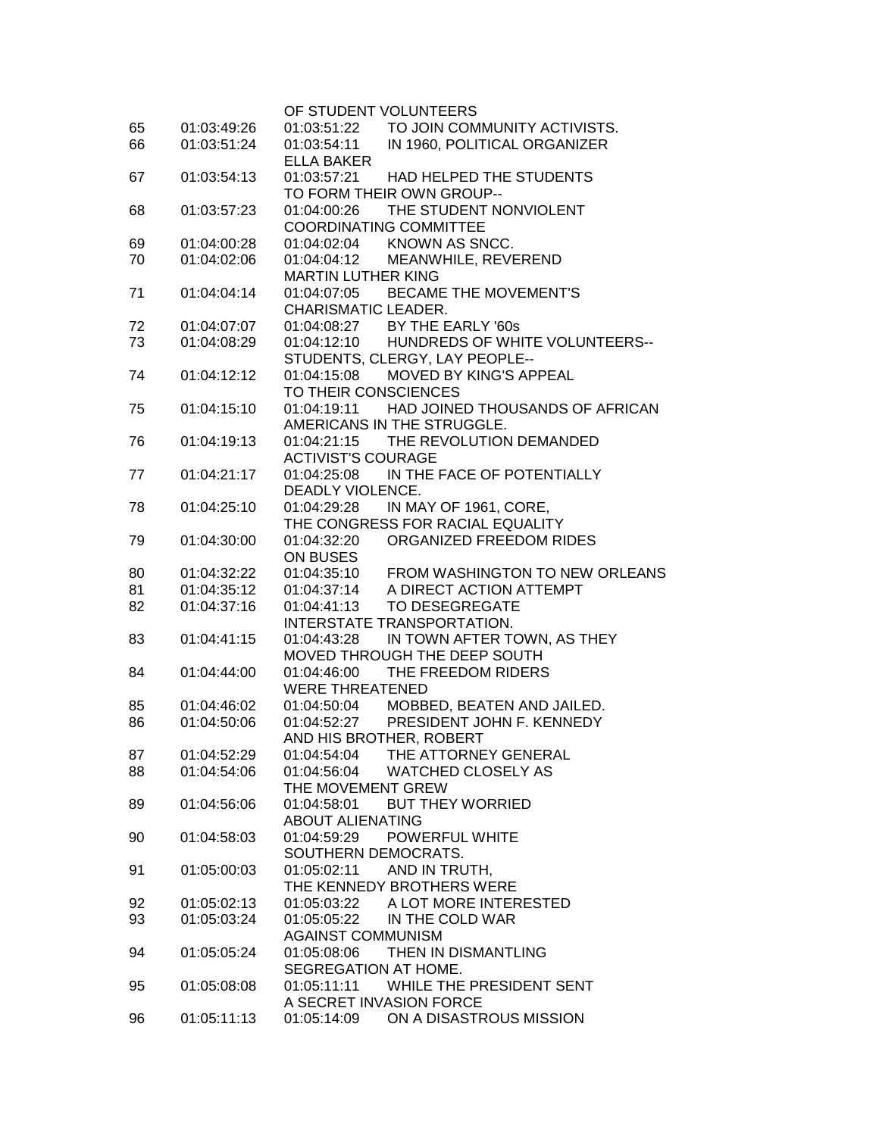|    |             | OF STUDENT VOLUNTEERS                                         |
|----|-------------|---------------------------------------------------------------|
| 65 | 01:03:49:26 | TO JOIN COMMUNITY ACTIVISTS.<br>01:03:51:22                   |
| 66 | 01:03:51:24 | IN 1960, POLITICAL ORGANIZER<br>01:03:54:11                   |
|    |             | <b>ELLA BAKER</b>                                             |
| 67 | 01:03:54:13 | 01:03:57:21 HAD HELPED THE STUDENTS                           |
|    |             | TO FORM THEIR OWN GROUP--                                     |
| 68 | 01:03:57:23 | 01:04:00:26 THE STUDENT NONVIOLENT                            |
|    |             | <b>COORDINATING COMMITTEE</b>                                 |
| 69 | 01:04:00:28 |                                                               |
| 70 | 01:04:02:06 | 01:04:02:04 KNOWN AS SNCC.<br>01:04:04:12 MEANWHILE, REVEREND |
|    |             | <b>MARTIN LUTHER KING</b>                                     |
|    |             |                                                               |
| 71 | 01:04:04:14 | 01:04:07:05 BECAME THE MOVEMENT'S                             |
|    |             | CHARISMATIC LEADER.                                           |
| 72 | 01:04:07:07 | 01:04:08:27 BY THE EARLY '60s                                 |
| 73 | 01:04:08:29 | 01:04:12:10 HUNDREDS OF WHITE VOLUNTEERS--                    |
|    |             | STUDENTS, CLERGY, LAY PEOPLE--                                |
| 74 | 01:04:12:12 | 01:04:15:08 MOVED BY KING'S APPEAL                            |
|    |             | TO THEIR CONSCIENCES                                          |
| 75 | 01:04:15:10 | HAD JOINED THOUSANDS OF AFRICAN<br>01:04:19:11                |
|    |             | AMERICANS IN THE STRUGGLE.                                    |
| 76 | 01:04:19:13 | 01:04:21:15 THE REVOLUTION DEMANDED                           |
|    |             | <b>ACTIVIST'S COURAGE</b>                                     |
| 77 | 01:04:21:17 | IN THE FACE OF POTENTIALLY<br>01:04:25:08                     |
|    |             | DEADLY VIOLENCE.                                              |
| 78 | 01:04:25:10 | 01:04:29:28 IN MAY OF 1961, CORE,                             |
|    |             | THE CONGRESS FOR RACIAL EQUALITY                              |
| 79 | 01:04:30:00 | 01:04:32:20<br>ORGANIZED FREEDOM RIDES                        |
|    |             | ON BUSES                                                      |
|    | 01:04:32:22 | 01:04:35:10 FROM WASHINGTON TO NEW ORLEANS                    |
| 80 |             |                                                               |
| 81 | 01:04:35:12 | 01:04:37:14<br>A DIRECT ACTION ATTEMPT                        |
| 82 | 01:04:37:16 | 01:04:41:13<br>TO DESEGREGATE                                 |
|    |             | INTERSTATE TRANSPORTATION.                                    |
| 83 | 01:04:41:15 | 01:04:43:28 IN TOWN AFTER TOWN, AS THEY                       |
|    |             | MOVED THROUGH THE DEEP SOUTH                                  |
| 84 | 01:04:44:00 | THE FREEDOM RIDERS<br>01:04:46:00                             |
|    |             | <b>WERE THREATENED</b>                                        |
| 85 | 01:04:46:02 | 01:04:50:04 MOBBED, BEATEN AND JAILED.                        |
| 86 | 01:04:50:06 | 01:04:52:27<br>PRESIDENT JOHN F. KENNEDY                      |
|    |             | AND HIS BROTHER, ROBERT                                       |
| 87 | 01:04:52:29 | 01:04:54:04<br>THE ATTORNEY GENERAL                           |
| 88 | 01:04:54:06 | <b>WATCHED CLOSELY AS</b><br>01:04:56:04                      |
|    |             | THE MOVEMENT GREW                                             |
| 89 | 01:04:56:06 | 01:04:58:01<br><b>BUT THEY WORRIED</b>                        |
|    |             | <b>ABOUT ALIENATING</b>                                       |
| 90 | 01:04:58:03 | <b>POWERFUL WHITE</b><br>01:04:59:29                          |
|    |             | SOUTHERN DEMOCRATS.                                           |
| 91 | 01:05:00:03 | AND IN TRUTH,<br>01:05:02:11                                  |
|    |             | THE KENNEDY BROTHERS WERE                                     |
|    |             |                                                               |
| 92 | 01:05:02:13 | 01:05:03:22<br>A LOT MORE INTERESTED                          |
| 93 | 01:05:03:24 | 01:05:05:22<br>IN THE COLD WAR                                |
|    |             | <b>AGAINST COMMUNISM</b>                                      |
| 94 | 01:05:05:24 | 01:05:08:06<br>THEN IN DISMANTLING                            |
|    |             | SEGREGATION AT HOME.                                          |
| 95 | 01:05:08:08 | WHILE THE PRESIDENT SENT<br>01:05:11:11                       |
|    |             | A SECRET INVASION FORCE                                       |
| 96 | 01:05:11:13 | ON A DISASTROUS MISSION<br>01:05:14:09                        |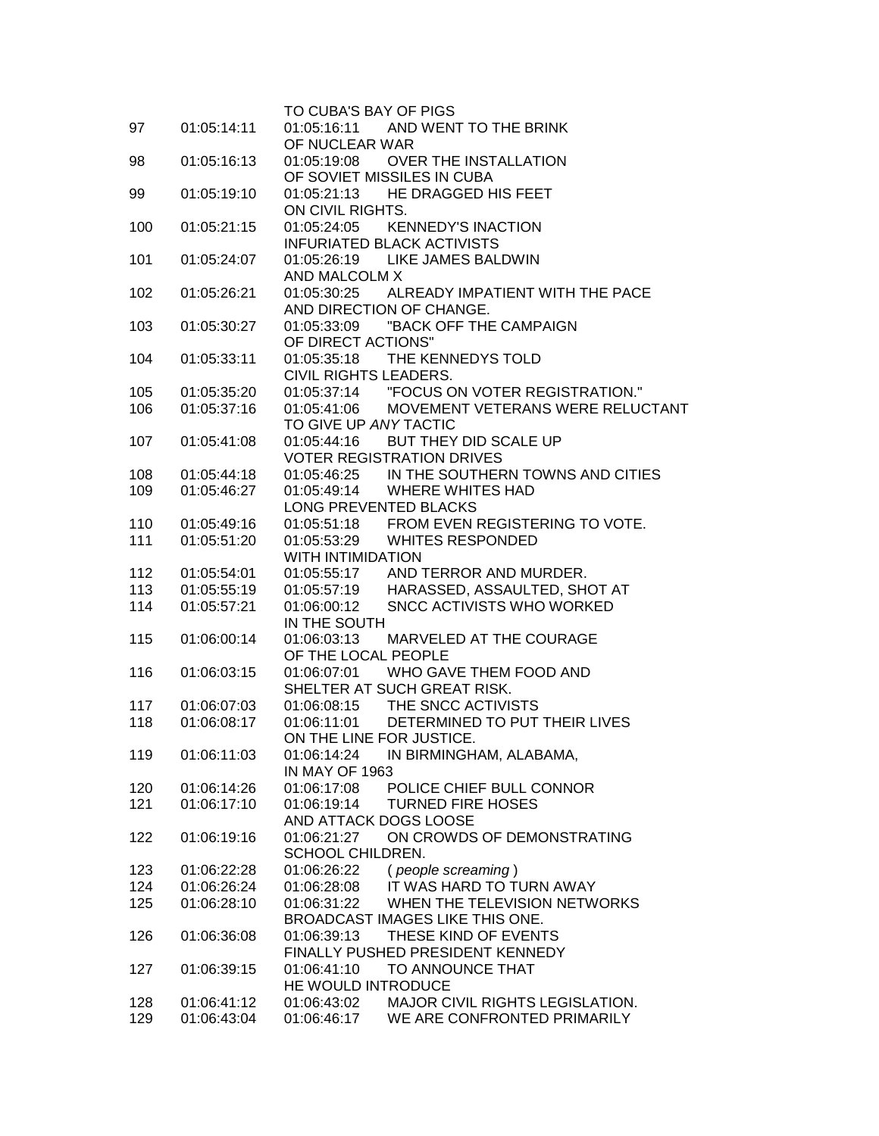|     |             | TO CUBA'S BAY OF PIGS                                 |  |
|-----|-------------|-------------------------------------------------------|--|
| 97  | 01:05:14:11 | 01:05:16:11<br>AND WENT TO THE BRINK                  |  |
|     |             | OF NUCLEAR WAR                                        |  |
| 98  | 01:05:16:13 | 01:05:19:08<br>OVER THE INSTALLATION                  |  |
|     |             | OF SOVIET MISSILES IN CUBA                            |  |
| 99  | 01:05:19:10 | 01:05:21:13<br>HE DRAGGED HIS FEET                    |  |
|     |             | ON CIVIL RIGHTS.                                      |  |
| 100 | 01:05:21:15 | 01:05:24:05 KENNEDY'S INACTION                        |  |
|     |             | <b>INFURIATED BLACK ACTIVISTS</b>                     |  |
| 101 | 01:05:24:07 | 01:05:26:19 LIKE JAMES BALDWIN                        |  |
|     |             | AND MALCOLM X                                         |  |
| 102 | 01:05:26:21 | ALREADY IMPATIENT WITH THE PACE<br>01:05:30:25        |  |
|     |             | AND DIRECTION OF CHANGE.                              |  |
| 103 | 01:05:30:27 | "BACK OFF THE CAMPAIGN<br>01:05:33:09                 |  |
|     |             | OF DIRECT ACTIONS"                                    |  |
| 104 | 01:05:33:11 | 01:05:35:18 THE KENNEDYS TOLD                         |  |
|     |             | CIVIL RIGHTS LEADERS.                                 |  |
| 105 | 01:05:35:20 | 01:05:37:14 "FOCUS ON VOTER REGISTRATION."            |  |
| 106 | 01:05:37:16 | 01:05:41:06 MOVEMENT VETERANS WERE RELUCTANT          |  |
|     |             | TO GIVE UP ANY TACTIC                                 |  |
| 107 | 01:05:41:08 | 01:05:44:16 BUT THEY DID SCALE UP                     |  |
|     |             | <b>VOTER REGISTRATION DRIVES</b>                      |  |
| 108 | 01:05:44:18 | 01:05:46:25 IN THE SOUTHERN TOWNS AND CITIES          |  |
| 109 | 01:05:46:27 | 01:05:49:14 WHERE WHITES HAD                          |  |
|     |             | LONG PREVENTED BLACKS                                 |  |
| 110 | 01:05:49:16 | 01:05:51:18 FROM EVEN REGISTERING TO VOTE.            |  |
| 111 | 01:05:51:20 | 01:05:53:29 WHITES RESPONDED                          |  |
|     |             | <b>WITH INTIMIDATION</b>                              |  |
| 112 | 01:05:54:01 | 01:05:55:17 AND TERROR AND MURDER.                    |  |
| 113 | 01:05:55:19 | 01:05:57:19 HARASSED, ASSAULTED, SHOT AT              |  |
| 114 | 01:05:57:21 | 01:06:00:12<br>SNCC ACTIVISTS WHO WORKED              |  |
|     |             | IN THE SOUTH                                          |  |
| 115 | 01:06:00:14 | 01:06:03:13<br>MARVELED AT THE COURAGE                |  |
|     |             | OF THE LOCAL PEOPLE                                   |  |
| 116 | 01:06:03:15 | 01:06:07:01 WHO GAVE THEM FOOD AND                    |  |
|     |             | SHELTER AT SUCH GREAT RISK.                           |  |
| 117 | 01:06:07:03 | 01:06:08:15 THE SNCC ACTIVISTS                        |  |
| 118 | 01:06:08:17 | 01:06:11:01 DETERMINED TO PUT THEIR LIVES             |  |
|     |             | ON THE LINE FOR JUSTICE.                              |  |
| 119 | 01:06:11:03 | 01:06:14:24<br>IN BIRMINGHAM, ALABAMA,                |  |
|     |             | IN MAY OF 1963                                        |  |
| 120 | 01:06:14:26 | 01:06:17:08<br>POLICE CHIEF BULL CONNOR               |  |
| 121 | 01:06:17:10 | <b>TURNED FIRE HOSES</b><br>01:06:19:14               |  |
|     |             | AND ATTACK DOGS LOOSE                                 |  |
| 122 | 01:06:19:16 | 01:06:21:27<br>ON CROWDS OF DEMONSTRATING             |  |
|     |             | SCHOOL CHILDREN.                                      |  |
| 123 | 01:06:22:28 | 01:06:26:22<br>(people screaming)                     |  |
| 124 | 01:06:26:24 | IT WAS HARD TO TURN AWAY<br>01:06:28:08               |  |
| 125 | 01:06:28:10 | WHEN THE TELEVISION NETWORKS<br>01:06:31:22           |  |
|     |             | BROADCAST IMAGES LIKE THIS ONE.                       |  |
| 126 | 01:06:36:08 | THESE KIND OF EVENTS<br>01:06:39:13                   |  |
|     |             | FINALLY PUSHED PRESIDENT KENNEDY                      |  |
| 127 | 01:06:39:15 | TO ANNOUNCE THAT<br>01:06:41:10                       |  |
|     |             | HE WOULD INTRODUCE                                    |  |
| 128 | 01:06:41:12 | 01:06:43:02<br><b>MAJOR CIVIL RIGHTS LEGISLATION.</b> |  |
| 129 | 01:06:43:04 | WE ARE CONFRONTED PRIMARILY<br>01:06:46:17            |  |
|     |             |                                                       |  |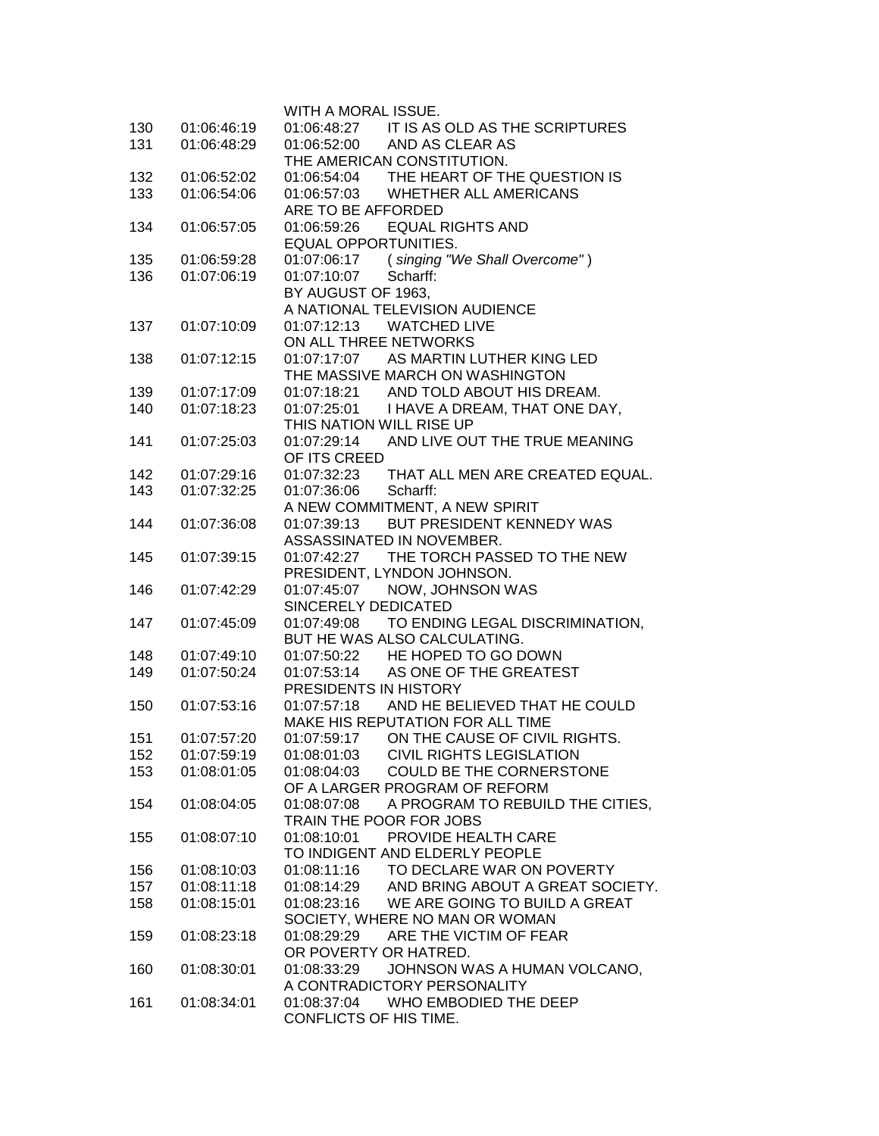|     |             | WITH A MORAL ISSUE.                             |
|-----|-------------|-------------------------------------------------|
| 130 | 01:06:46:19 | 01:06:48:27 IT IS AS OLD AS THE SCRIPTURES      |
| 131 | 01:06:48:29 | 01:06:52:00 AND AS CLEAR AS                     |
|     |             | THE AMERICAN CONSTITUTION.                      |
| 132 | 01:06:52:02 | 01:06:54:04 THE HEART OF THE QUESTION IS        |
| 133 | 01:06:54:06 | 01:06:57:03 WHETHER ALL AMERICANS               |
|     |             | ARE TO BE AFFORDED                              |
| 134 | 01:06:57:05 | 01:06:59:26 EQUAL RIGHTS AND                    |
|     |             | <b>EQUAL OPPORTUNITIES.</b>                     |
| 135 | 01:06:59:28 | 01:07:06:17 (singing "We Shall Overcome")       |
| 136 | 01:07:06:19 | 01:07:10:07<br>Scharff:                         |
|     |             | BY AUGUST OF 1963,                              |
|     |             | A NATIONAL TELEVISION AUDIENCE                  |
| 137 | 01:07:10:09 | <b>WATCHED LIVE</b><br>01:07:12:13              |
|     |             | ON ALL THREE NETWORKS                           |
| 138 | 01:07:12:15 | 01:07:17:07 AS MARTIN LUTHER KING LED           |
|     |             | THE MASSIVE MARCH ON WASHINGTON                 |
| 139 | 01:07:17:09 | 01:07:18:21 AND TOLD ABOUT HIS DREAM.           |
| 140 | 01:07:18:23 | 01:07:25:01 I HAVE A DREAM, THAT ONE DAY,       |
|     |             | THIS NATION WILL RISE UP                        |
| 141 | 01:07:25:03 | 01:07:29:14 AND LIVE OUT THE TRUE MEANING       |
|     |             | OF ITS CREED                                    |
| 142 | 01:07:29:16 | 01:07:32:23 THAT ALL MEN ARE CREATED EQUAL.     |
| 143 | 01:07:32:25 | 01:07:36:06<br>Scharff:                         |
|     |             | A NEW COMMITMENT, A NEW SPIRIT                  |
| 144 | 01:07:36:08 | 01:07:39:13 BUT PRESIDENT KENNEDY WAS           |
|     |             | ASSASSINATED IN NOVEMBER.                       |
| 145 | 01:07:39:15 | 01:07:42:27<br>THE TORCH PASSED TO THE NEW      |
|     |             | PRESIDENT, LYNDON JOHNSON.                      |
| 146 | 01:07:42:29 | NOW, JOHNSON WAS<br>01:07:45:07                 |
|     |             | SINCERELY DEDICATED                             |
| 147 | 01:07:45:09 | 01:07:49:08<br>TO ENDING LEGAL DISCRIMINATION,  |
|     |             | BUT HE WAS ALSO CALCULATING.                    |
| 148 | 01:07:49:10 | 01:07:50:22 HE HOPED TO GO DOWN                 |
| 149 | 01:07:50:24 | 01:07:53:14 AS ONE OF THE GREATEST              |
|     |             | PRESIDENTS IN HISTORY                           |
| 150 | 01:07:53:16 | 01:07:57:18 AND HE BELIEVED THAT HE COULD       |
|     |             | MAKE HIS REPUTATION FOR ALL TIME                |
| 151 | 01:07:57:20 | 01:07:59:17 ON THE CAUSE OF CIVIL RIGHTS.       |
| 152 | 01:07:59:19 | 01:08:01:03 CIVIL RIGHTS LEGISLATION            |
| 153 | 01:08:01:05 | COULD BE THE CORNERSTONE<br>01:08:04:03         |
|     |             | OF A LARGER PROGRAM OF REFORM                   |
| 154 | 01:08:04:05 | A PROGRAM TO REBUILD THE CITIES,<br>01:08:07:08 |
|     |             | TRAIN THE POOR FOR JOBS                         |
| 155 | 01:08:07:10 | PROVIDE HEALTH CARE<br>01:08:10:01              |
|     |             | TO INDIGENT AND ELDERLY PEOPLE                  |
| 156 | 01:08:10:03 | 01:08:11:16 TO DECLARE WAR ON POVERTY           |
| 157 | 01:08:11:18 | 01:08:14:29 AND BRING ABOUT A GREAT SOCIETY.    |
| 158 | 01:08:15:01 | 01:08:23:16 WE ARE GOING TO BUILD A GREAT       |
|     |             | SOCIETY, WHERE NO MAN OR WOMAN                  |
| 159 | 01:08:23:18 | 01:08:29:29 ARE THE VICTIM OF FEAR              |
|     |             | OR POVERTY OR HATRED.                           |
| 160 | 01:08:30:01 | 01:08:33:29<br>JOHNSON WAS A HUMAN VOLCANO,     |
|     |             | A CONTRADICTORY PERSONALITY                     |
| 161 | 01:08:34:01 | 01:08:37:04<br>WHO EMBODIED THE DEEP            |
|     |             | CONFLICTS OF HIS TIME.                          |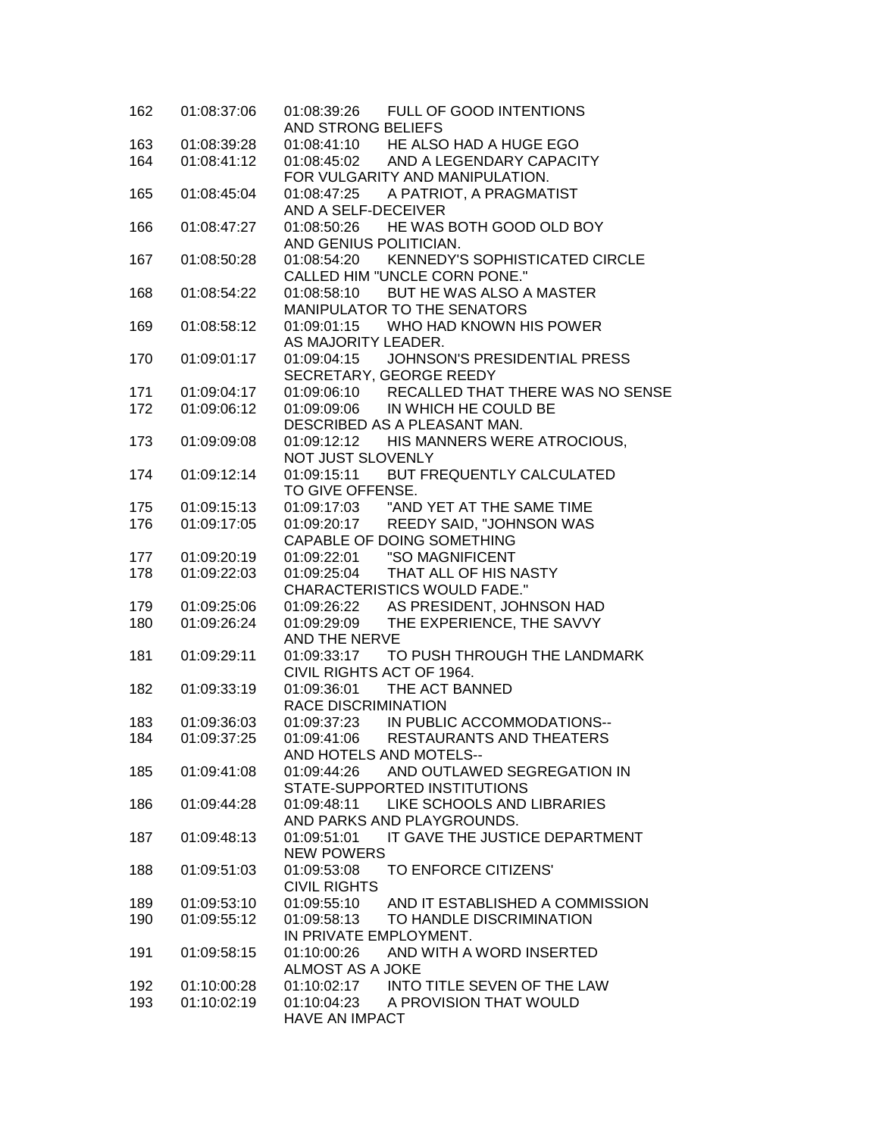| 162 | 01:08:37:06 | 01:08:39:26 FULL OF GOOD INTENTIONS<br>AND STRONG BELIEFS                      |
|-----|-------------|--------------------------------------------------------------------------------|
| 163 | 01:08:39:28 | 01:08:41:10 HE ALSO HAD A HUGE EGO                                             |
| 164 | 01:08:41:12 | 01:08:45:02 AND A LEGENDARY CAPACITY                                           |
|     |             | FOR VULGARITY AND MANIPULATION.                                                |
| 165 | 01:08:45:04 | 01:08:47:25<br>A PATRIOT, A PRAGMATIST                                         |
|     |             | AND A SELF-DECEIVER                                                            |
| 166 | 01:08:47:27 | 01:08:50:26 HE WAS BOTH GOOD OLD BOY                                           |
|     |             | AND GENIUS POLITICIAN.                                                         |
| 167 | 01:08:50:28 | 01:08:54:20 KENNEDY'S SOPHISTICATED CIRCLE                                     |
|     |             | CALLED HIM "UNCLE CORN PONE."                                                  |
| 168 | 01:08:54:22 | 01:08:58:10 BUT HE WAS ALSO A MASTER                                           |
|     |             | MANIPULATOR TO THE SENATORS                                                    |
| 169 | 01:08:58:12 | 01:09:01:15 WHO HAD KNOWN HIS POWER                                            |
|     |             | AS MAJORITY LEADER.                                                            |
| 170 | 01:09:01:17 | 01:09:04:15 JOHNSON'S PRESIDENTIAL PRESS                                       |
|     |             | SECRETARY, GEORGE REEDY                                                        |
| 171 | 01:09:04:17 | 01:09:06:10 RECALLED THAT THERE WAS NO SENSE                                   |
| 172 | 01:09:06:12 | 01:09:09:06 IN WHICH HE COULD BE                                               |
|     |             | DESCRIBED AS A PLEASANT MAN.                                                   |
| 173 | 01:09:09:08 | 01:09:12:12 HIS MANNERS WERE ATROCIOUS,                                        |
|     |             | NOT JUST SLOVENLY                                                              |
| 174 | 01:09:12:14 | BUT FREQUENTLY CALCULATED<br>01:09:15:11                                       |
|     |             | TO GIVE OFFENSE.                                                               |
| 175 | 01:09:15:13 |                                                                                |
| 176 | 01:09:17:05 |                                                                                |
|     |             | CAPABLE OF DOING SOMETHING                                                     |
| 177 | 01:09:20:19 | 01:09:22:01  "SO MAGNIFICENT                                                   |
| 178 | 01:09:22:03 | 01:09:25:04 THAT ALL OF HIS NASTY                                              |
|     |             | <b>CHARACTERISTICS WOULD FADE."</b>                                            |
| 179 | 01:09:25:06 | 01:09:26:22 AS PRESIDENT, JOHNSON HAD                                          |
| 180 | 01:09:26:24 | THE EXPERIENCE, THE SAVVY<br>01:09:29:09                                       |
|     |             | AND THE NERVE                                                                  |
| 181 | 01:09:29:11 | 01:09:33:17 TO PUSH THROUGH THE LANDMARK                                       |
|     |             | CIVIL RIGHTS ACT OF 1964.                                                      |
| 182 | 01:09:33:19 | 01:09:36:01 THE ACT BANNED                                                     |
|     |             | <b>RACE DISCRIMINATION</b>                                                     |
| 183 | 01:09:36:03 |                                                                                |
| 184 | 01:09:37:25 | 01:09:37:23 IN PUBLIC ACCOMMODATIONS--<br>01:09:41:06 RESTAURANTS AND THEATERS |
|     |             | AND HOTELS AND MOTELS--                                                        |
| 185 | 01:09:41:08 | 01:09:44:26<br>AND OUTLAWED SEGREGATION IN                                     |
|     |             | STATE-SUPPORTED INSTITUTIONS                                                   |
| 186 | 01:09:44:28 | LIKE SCHOOLS AND LIBRARIES<br>01:09:48:11                                      |
|     |             | AND PARKS AND PLAYGROUNDS.                                                     |
| 187 | 01:09:48:13 | IT GAVE THE JUSTICE DEPARTMENT<br>01:09:51:01                                  |
|     |             | <b>NEW POWERS</b>                                                              |
| 188 | 01:09:51:03 | TO ENFORCE CITIZENS'<br>01:09:53:08                                            |
|     |             | <b>CIVIL RIGHTS</b>                                                            |
| 189 | 01:09:53:10 | 01:09:55:10<br>AND IT ESTABLISHED A COMMISSION                                 |
| 190 | 01:09:55:12 | TO HANDLE DISCRIMINATION<br>01:09:58:13                                        |
|     |             |                                                                                |
|     |             | IN PRIVATE EMPLOYMENT.                                                         |
| 191 | 01:09:58:15 | AND WITH A WORD INSERTED<br>01:10:00:26<br><b>ALMOST AS A JOKE</b>             |
|     |             |                                                                                |
| 192 | 01:10:00:28 | 01:10:02:17<br>INTO TITLE SEVEN OF THE LAW                                     |
| 193 | 01:10:02:19 | 01:10:04:23 A PROVISION THAT WOULD                                             |
|     |             | <b>HAVE AN IMPACT</b>                                                          |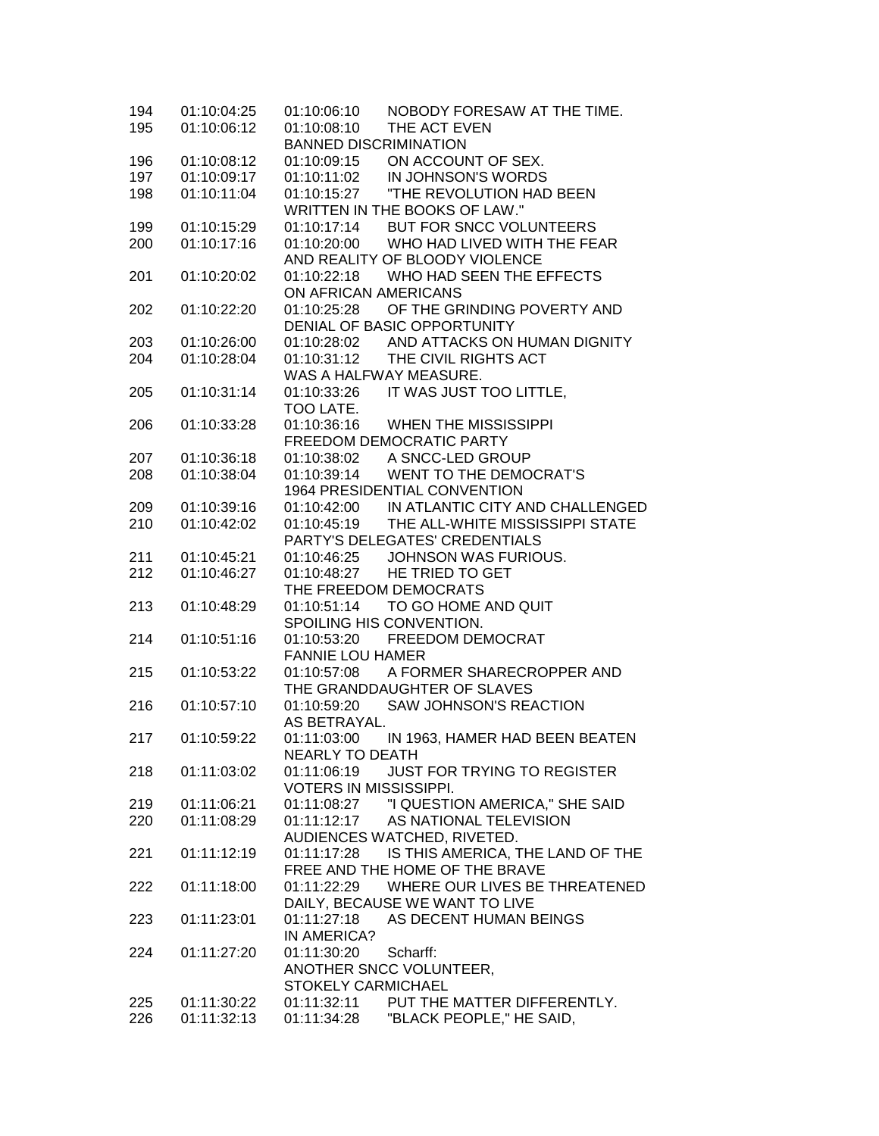| 194 | 01:10:04:25 | 01:10:06:10                   | NOBODY FORESAW AT THE TIME.                 |
|-----|-------------|-------------------------------|---------------------------------------------|
| 195 | 01:10:06:12 | 01:10:08:10                   | THE ACT EVEN                                |
|     |             | <b>BANNED DISCRIMINATION</b>  |                                             |
| 196 | 01:10:08:12 | 01:10:09:15                   | ON ACCOUNT OF SEX.                          |
| 197 | 01:10:09:17 | 01:10:11:02                   | IN JOHNSON'S WORDS                          |
| 198 | 01:10:11:04 | 01:10:15:27                   | "THE REVOLUTION HAD BEEN                    |
|     |             |                               | WRITTEN IN THE BOOKS OF LAW."               |
| 199 | 01:10:15:29 | 01:10:17:14                   | BUT FOR SNCC VOLUNTEERS                     |
| 200 | 01:10:17:16 | 01:10:20:00                   | WHO HAD LIVED WITH THE FEAR                 |
|     |             |                               | AND REALITY OF BLOODY VIOLENCE              |
| 201 | 01:10:20:02 |                               | 01:10:22:18 WHO HAD SEEN THE EFFECTS        |
|     |             | ON AFRICAN AMERICANS          |                                             |
| 202 | 01:10:22:20 | 01:10:25:28                   | OF THE GRINDING POVERTY AND                 |
|     |             |                               | DENIAL OF BASIC OPPORTUNITY                 |
| 203 | 01:10:26:00 |                               | 01:10:28:02 AND ATTACKS ON HUMAN DIGNITY    |
| 204 | 01:10:28:04 | 01:10:31:12                   | THE CIVIL RIGHTS ACT                        |
|     |             |                               | WAS A HALFWAY MEASURE.                      |
| 205 | 01:10:31:14 | 01:10:33:26                   | IT WAS JUST TOO LITTLE,                     |
|     |             | TOO LATE.                     |                                             |
| 206 | 01:10:33:28 | 01:10:36:16                   | <b>WHEN THE MISSISSIPPI</b>                 |
|     |             |                               | FREEDOM DEMOCRATIC PARTY                    |
| 207 | 01:10:36:18 | 01:10:38:02                   | A SNCC-LED GROUP                            |
| 208 | 01:10:38:04 | 01:10:39:14                   | <b>WENT TO THE DEMOCRAT'S</b>               |
|     |             |                               | 1964 PRESIDENTIAL CONVENTION                |
| 209 | 01:10:39:16 |                               | 01:10:42:00 IN ATLANTIC CITY AND CHALLENGED |
| 210 | 01:10:42:02 |                               | 01:10:45:19 THE ALL-WHITE MISSISSIPPI STATE |
|     |             |                               | PARTY'S DELEGATES' CREDENTIALS              |
| 211 | 01:10:45:21 | 01:10:46:25                   | JOHNSON WAS FURIOUS.                        |
| 212 | 01:10:46:27 |                               | 01:10:48:27 HE TRIED TO GET                 |
|     |             |                               | THE FREEDOM DEMOCRATS                       |
| 213 | 01:10:48:29 | 01:10:51:14                   | TO GO HOME AND QUIT                         |
|     |             |                               | SPOILING HIS CONVENTION.                    |
| 214 | 01:10:51:16 | 01:10:53:20                   | FREEDOM DEMOCRAT                            |
|     |             | <b>FANNIE LOU HAMER</b>       |                                             |
| 215 | 01:10:53:22 | 01:10:57:08                   | A FORMER SHARECROPPER AND                   |
|     |             |                               | THE GRANDDAUGHTER OF SLAVES                 |
| 216 | 01:10:57:10 | 01:10:59:20                   | SAW JOHNSON'S REACTION                      |
|     |             | AS BETRAYAL.                  |                                             |
| 217 | 01:10:59:22 | 01:11:03:00                   | IN 1963, HAMER HAD BEEN BEATEN              |
|     |             | <b>NEARLY TO DEATH</b>        |                                             |
| 218 | 01:11:03:02 | 01:11:06:19                   | <b>JUST FOR TRYING TO REGISTER</b>          |
|     |             | <b>VOTERS IN MISSISSIPPI.</b> |                                             |
| 219 | 01:11:06:21 | 01:11:08:27                   | "I QUESTION AMERICA," SHE SAID              |
| 220 | 01:11:08:29 | 01:11:12:17                   | AS NATIONAL TELEVISION                      |
|     |             |                               | AUDIENCES WATCHED, RIVETED.                 |
| 221 | 01:11:12:19 | 01:11:17:28                   | IS THIS AMERICA, THE LAND OF THE            |
|     |             |                               | FREE AND THE HOME OF THE BRAVE              |
| 222 | 01:11:18:00 |                               | 01:11:22:29 WHERE OUR LIVES BE THREATENED   |
|     |             |                               | DAILY, BECAUSE WE WANT TO LIVE              |
| 223 | 01:11:23:01 | 01:11:27:18                   | AS DECENT HUMAN BEINGS                      |
|     |             | IN AMERICA?                   |                                             |
| 224 | 01:11:27:20 | 01:11:30:20                   | Scharff:                                    |
|     |             |                               | ANOTHER SNCC VOLUNTEER,                     |
|     |             | <b>STOKELY CARMICHAEL</b>     |                                             |
| 225 | 01:11:30:22 | 01:11:32:11                   | PUT THE MATTER DIFFERENTLY.                 |
| 226 | 01:11:32:13 | 01:11:34:28                   | "BLACK PEOPLE," HE SAID,                    |
|     |             |                               |                                             |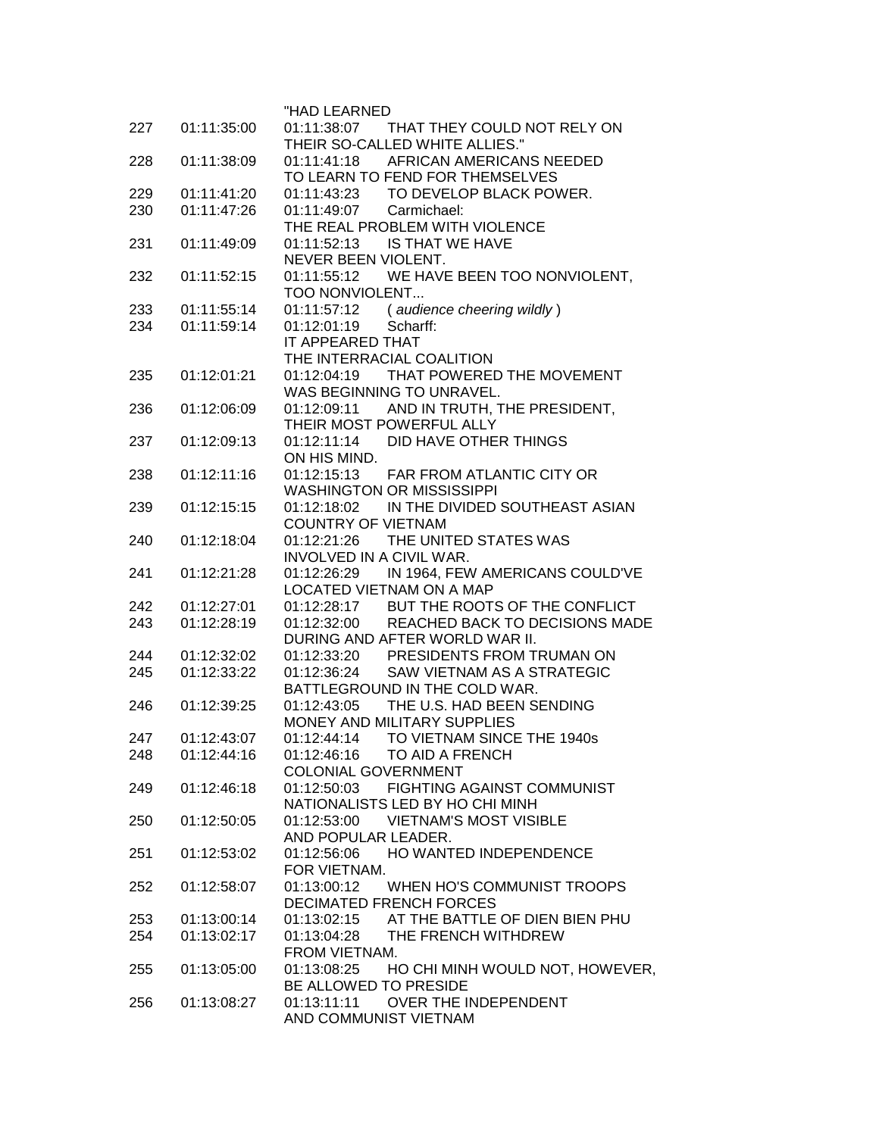|            |             | "HAD LEARNED                                                                    |
|------------|-------------|---------------------------------------------------------------------------------|
| 227        | 01:11:35:00 | 01:11:38:07 THAT THEY COULD NOT RELY ON                                         |
|            |             | THEIR SO-CALLED WHITE ALLIES."                                                  |
| 228        | 01:11:38:09 | 01:11:41:18 AFRICAN AMERICANS NEEDED                                            |
|            |             | TO LEARN TO FEND FOR THEMSELVES                                                 |
| 229        | 01:11:41:20 | 01:11:43:23 TO DEVELOP BLACK POWER.                                             |
| 230        | 01:11:47:26 | 01:11:49:07 Carmichael:                                                         |
|            |             | THE REAL PROBLEM WITH VIOLENCE                                                  |
| 231        | 01:11:49:09 | 01:11:52:13 IS THAT WE HAVE                                                     |
|            |             | NEVER BEEN VIOLENT.                                                             |
| 232        | 01:11:52:15 | 01:11:55:12 WE HAVE BEEN TOO NONVIOLENT,                                        |
|            |             | TOO NONVIOLENT                                                                  |
| 233        | 01:11:55:14 | 01:11:57:12<br>(audience cheering wildly)                                       |
| 234        | 01:11:59:14 | 01:12:01:19<br>Scharff:                                                         |
|            |             | IT APPEARED THAT                                                                |
|            |             | THE INTERRACIAL COALITION                                                       |
| 235        | 01:12:01:21 | THAT POWERED THE MOVEMENT<br>01:12:04:19                                        |
|            |             | WAS BEGINNING TO UNRAVEL.                                                       |
| 236        | 01:12:06:09 | AND IN TRUTH, THE PRESIDENT,<br>01:12:09:11                                     |
|            |             | THEIR MOST POWERFUL ALLY                                                        |
| 237        | 01:12:09:13 | DID HAVE OTHER THINGS<br>01:12:11:14                                            |
|            |             | ON HIS MIND.                                                                    |
| 238        | 01:12:11:16 | FAR FROM ATLANTIC CITY OR<br>01:12:15:13                                        |
|            |             | <b>WASHINGTON OR MISSISSIPPI</b>                                                |
| 239        | 01:12:15:15 | IN THE DIVIDED SOUTHEAST ASIAN<br>01:12:18:02                                   |
|            |             | <b>COUNTRY OF VIETNAM</b>                                                       |
| 240        | 01:12:18:04 | THE UNITED STATES WAS<br>01:12:21:26                                            |
|            |             | INVOLVED IN A CIVIL WAR.                                                        |
| 241        | 01:12:21:28 | IN 1964, FEW AMERICANS COULD'VE<br>01:12:26:29                                  |
|            |             | LOCATED VIETNAM ON A MAP                                                        |
| 242        | 01:12:27:01 | 01:12:28:17 BUT THE ROOTS OF THE CONFLICT                                       |
| 243        | 01:12:28:19 | 01:12:32:00 REACHED BACK TO DECISIONS MADE                                      |
|            |             | DURING AND AFTER WORLD WAR II.                                                  |
| 244        | 01:12:32:02 | 01:12:33:20 PRESIDENTS FROM TRUMAN ON                                           |
| 245        | 01:12:33:22 | 01:12:36:24 SAW VIETNAM AS A STRATEGIC                                          |
|            |             | BATTLEGROUND IN THE COLD WAR.                                                   |
| 246        | 01:12:39:25 | 01:12:43:05 THE U.S. HAD BEEN SENDING                                           |
|            |             | MONEY AND MILITARY SUPPLIES                                                     |
| 247        | 01:12:43:07 | TO VIETNAM SINCE THE 1940s<br>01:12:44:14                                       |
| 248        | 01:12:44:16 | 01:12:46:16 TO AID A FRENCH                                                     |
|            |             | <b>COLONIAL GOVERNMENT</b>                                                      |
| 249        | 01:12:46:18 | FIGHTING AGAINST COMMUNIST<br>01:12:50:03                                       |
|            |             | NATIONALISTS LED BY HO CHI MINH                                                 |
| 250        | 01:12:50:05 | 01:12:53:00 VIETNAM'S MOST VISIBLE<br>AND POPULAR LEADER.                       |
| 251        | 01:12:53:02 | 01:12:56:06 HO WANTED INDEPENDENCE                                              |
|            |             | FOR VIETNAM.                                                                    |
|            |             | 01:13:00:12 WHEN HO'S COMMUNIST TROOPS                                          |
| 252        | 01:12:58:07 |                                                                                 |
|            | 01:13:00:14 | <b>DECIMATED FRENCH FORCES</b><br>AT THE BATTLE OF DIEN BIEN PHU<br>01:13:02:15 |
| 253<br>254 | 01:13:02:17 | 01:13:04:28 THE FRENCH WITHDREW                                                 |
|            |             | FROM VIETNAM.                                                                   |
| 255        | 01:13:05:00 | HO CHI MINH WOULD NOT, HOWEVER,<br>01:13:08:25                                  |
|            |             | BE ALLOWED TO PRESIDE                                                           |
| 256        | 01:13:08:27 | 01:13:11:11<br>OVER THE INDEPENDENT                                             |
|            |             | AND COMMUNIST VIETNAM                                                           |
|            |             |                                                                                 |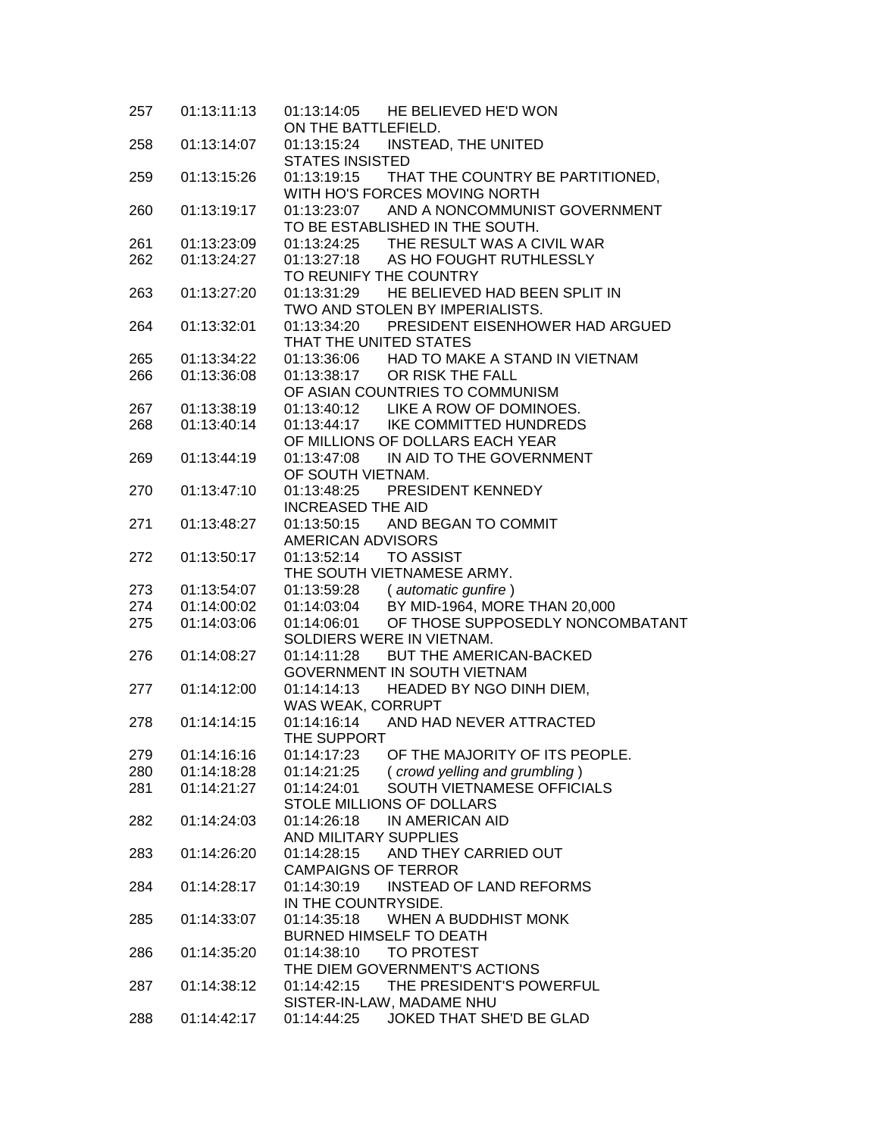| 257 | 01:13:11:13 | 01:13:14:05 HE BELIEVED HE'D WON<br>ON THE BATTLEFIELD. |
|-----|-------------|---------------------------------------------------------|
| 258 | 01:13:14:07 | INSTEAD, THE UNITED<br>01:13:15:24                      |
|     |             | <b>STATES INSISTED</b>                                  |
| 259 | 01:13:15:26 | 01:13:19:15 THAT THE COUNTRY BE PARTITIONED,            |
|     |             | WITH HO'S FORCES MOVING NORTH                           |
| 260 | 01:13:19:17 | 01:13:23:07 AND A NONCOMMUNIST GOVERNMENT               |
|     |             | TO BE ESTABLISHED IN THE SOUTH.                         |
| 261 | 01:13:23:09 | 01:13:24:25 THE RESULT WAS A CIVIL WAR                  |
| 262 | 01:13:24:27 | 01:13:27:18 AS HO FOUGHT RUTHLESSLY                     |
|     |             | TO REUNIFY THE COUNTRY                                  |
| 263 | 01:13:27:20 | 01:13:31:29 HE BELIEVED HAD BEEN SPLIT IN               |
|     |             | TWO AND STOLEN BY IMPERIALISTS.                         |
| 264 | 01:13:32:01 | PRESIDENT EISENHOWER HAD ARGUED<br>01:13:34:20          |
|     |             | THAT THE UNITED STATES                                  |
| 265 | 01:13:34:22 | 01:13:36:06 HAD TO MAKE A STAND IN VIETNAM              |
| 266 | 01:13:36:08 | 01:13:38:17 OR RISK THE FALL                            |
|     |             | OF ASIAN COUNTRIES TO COMMUNISM                         |
| 267 | 01:13:38:19 | 01:13:40:12 LIKE A ROW OF DOMINOES.                     |
| 268 | 01:13:40:14 | 01:13:44:17 IKE COMMITTED HUNDREDS                      |
|     |             | OF MILLIONS OF DOLLARS EACH YEAR                        |
| 269 | 01:13:44:19 | IN AID TO THE GOVERNMENT<br>01:13:47:08                 |
|     |             | OF SOUTH VIETNAM.                                       |
|     | 01:13:47:10 | PRESIDENT KENNEDY                                       |
| 270 |             | 01:13:48:25                                             |
|     |             | <b>INCREASED THE AID</b>                                |
| 271 | 01:13:48:27 | 01:13:50:15<br>AND BEGAN TO COMMIT                      |
|     |             | <b>AMERICAN ADVISORS</b>                                |
| 272 | 01:13:50:17 | 01:13:52:14<br><b>TO ASSIST</b>                         |
|     |             | THE SOUTH VIETNAMESE ARMY.                              |
| 273 | 01:13:54:07 | $01:13:59:28$ (automatic gunfire)                       |
| 274 | 01:14:00:02 | 01:14:03:04 BY MID-1964, MORE THAN 20,000               |
| 275 | 01:14:03:06 | OF THOSE SUPPOSEDLY NONCOMBATANT<br>01:14:06:01         |
|     |             | SOLDIERS WERE IN VIETNAM.                               |
| 276 | 01:14:08:27 | 01:14:11:28<br>BUT THE AMERICAN-BACKED                  |
|     |             | GOVERNMENT IN SOUTH VIETNAM                             |
| 277 | 01:14:12:00 | HEADED BY NGO DINH DIEM,<br>01:14:14:13                 |
|     |             | WAS WEAK, CORRUPT                                       |
| 278 | 01:14:14:15 | 01:14:16:14 AND HAD NEVER ATTRACTED                     |
|     |             | THE SUPPORT                                             |
| 279 | 01:14:16:16 | OF THE MAJORITY OF ITS PEOPLE.<br>01:14:17:23           |
| 280 | 01:14:18:28 | 01:14:21:25<br>(crowd yelling and grumbling)            |
| 281 | 01:14:21:27 | SOUTH VIETNAMESE OFFICIALS<br>01:14:24:01               |
|     |             | STOLE MILLIONS OF DOLLARS                               |
| 282 | 01:14:24:03 | 01:14:26:18<br>IN AMERICAN AID                          |
|     |             | AND MILITARY SUPPLIES                                   |
| 283 | 01:14:26:20 | 01:14:28:15<br>AND THEY CARRIED OUT                     |
|     |             | <b>CAMPAIGNS OF TERROR</b>                              |
| 284 | 01:14:28:17 | 01:14:30:19<br><b>INSTEAD OF LAND REFORMS</b>           |
|     |             | IN THE COUNTRYSIDE.                                     |
| 285 | 01:14:33:07 | 01:14:35:18<br>WHEN A BUDDHIST MONK                     |
|     |             |                                                         |
|     |             | BURNED HIMSELF TO DEATH                                 |
| 286 | 01:14:35:20 | TO PROTEST<br>01:14:38:10                               |
|     |             | THE DIEM GOVERNMENT'S ACTIONS                           |
| 287 | 01:14:38:12 | THE PRESIDENT'S POWERFUL<br>01:14:42:15                 |
|     |             | SISTER-IN-LAW, MADAME NHU                               |
| 288 | 01:14:42:17 | JOKED THAT SHE'D BE GLAD<br>01:14:44:25                 |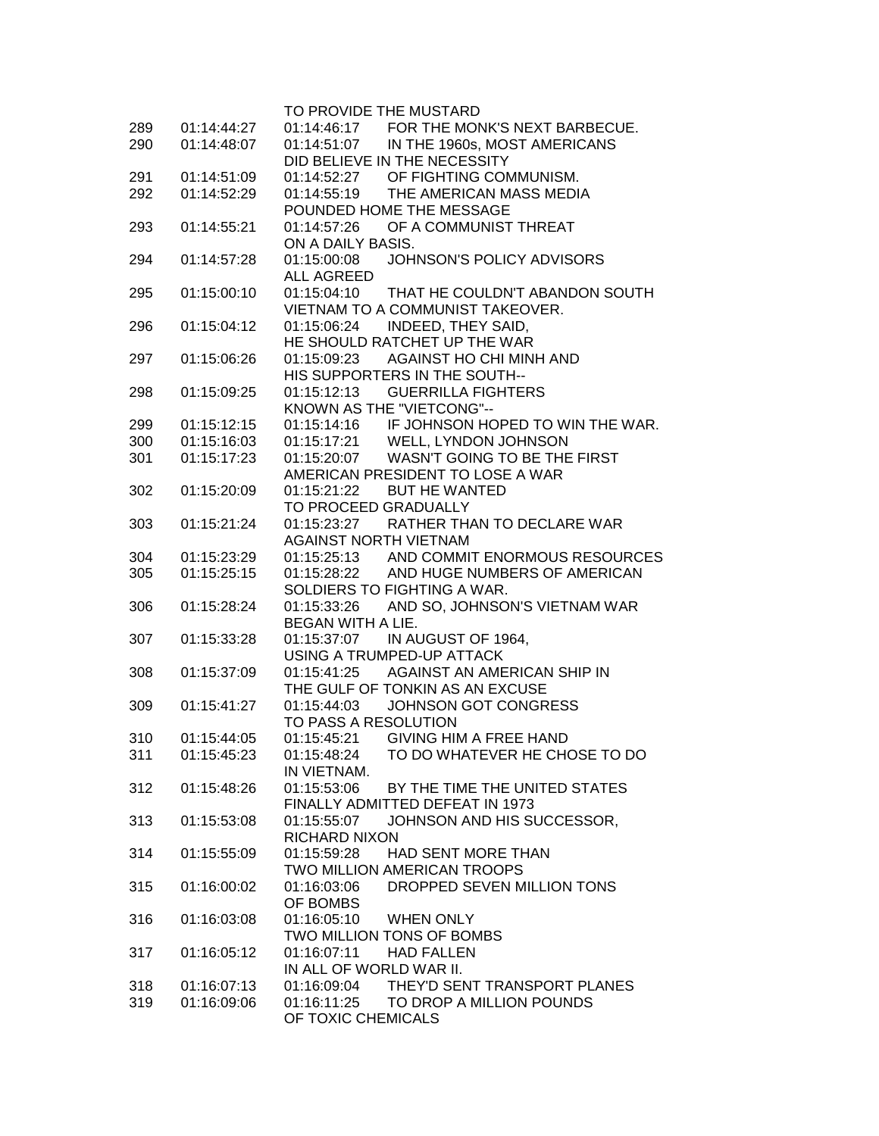|     |             | TO PROVIDE THE MUSTARD                                                           |
|-----|-------------|----------------------------------------------------------------------------------|
| 289 | 01:14:44:27 | 01:14:46:17 FOR THE MONK'S NEXT BARBECUE.                                        |
| 290 | 01:14:48:07 | 01:14:51:07 IN THE 1960s, MOST AMERICANS                                         |
|     |             | DID BELIEVE IN THE NECESSITY                                                     |
| 291 | 01:14:51:09 | 01:14:52:27 OF FIGHTING COMMUNISM.                                               |
| 292 | 01:14:52:29 | 01:14:55:19 THE AMERICAN MASS MEDIA                                              |
|     |             | POUNDED HOME THE MESSAGE                                                         |
| 293 | 01:14:55:21 | 01:14:57:26 OF A COMMUNIST THREAT                                                |
|     |             | ON A DAILY BASIS.                                                                |
| 294 | 01:14:57:28 | JOHNSON'S POLICY ADVISORS<br>01:15:00:08                                         |
|     |             | <b>ALL AGREED</b>                                                                |
| 295 | 01:15:00:10 | 01:15:04:10 THAT HE COULDN'T ABANDON SOUTH                                       |
|     |             | VIETNAM TO A COMMUNIST TAKEOVER.                                                 |
| 296 | 01:15:04:12 | INDEED, THEY SAID,<br>01:15:06:24                                                |
|     |             | HE SHOULD RATCHET UP THE WAR                                                     |
| 297 | 01:15:06:26 | 01:15:09:23<br>AGAINST HO CHI MINH AND                                           |
|     |             | HIS SUPPORTERS IN THE SOUTH--                                                    |
| 298 | 01:15:09:25 | <b>GUERRILLA FIGHTERS</b><br>01:15:12:13                                         |
|     |             | KNOWN AS THE "VIETCONG"--                                                        |
| 299 | 01:15:12:15 | 01:15:14:16 IF JOHNSON HOPED TO WIN THE WAR.<br>01:15:17:21 WELL, LYNDON JOHNSON |
| 300 | 01:15:16:03 |                                                                                  |
| 301 | 01:15:17:23 | 01:15:20:07 WASN'T GOING TO BE THE FIRST                                         |
|     |             | AMERICAN PRESIDENT TO LOSE A WAR                                                 |
| 302 | 01:15:20:09 | 01:15:21:22<br><b>BUT HE WANTED</b>                                              |
|     |             | TO PROCEED GRADUALLY                                                             |
| 303 | 01:15:21:24 | 01:15:23:27 RATHER THAN TO DECLARE WAR                                           |
|     |             | <b>AGAINST NORTH VIETNAM</b>                                                     |
| 304 | 01:15:23:29 | 01:15:25:13 AND COMMIT ENORMOUS RESOURCES                                        |
| 305 | 01:15:25:15 | 01:15:28:22 AND HUGE NUMBERS OF AMERICAN                                         |
|     |             | SOLDIERS TO FIGHTING A WAR.                                                      |
| 306 | 01:15:28:24 | 01:15:33:26 AND SO, JOHNSON'S VIETNAM WAR                                        |
|     |             | BEGAN WITH A LIE.                                                                |
| 307 | 01:15:33:28 |                                                                                  |
|     |             | USING A TRUMPED-UP ATTACK                                                        |
| 308 | 01:15:37:09 | 01:15:41:25 AGAINST AN AMERICAN SHIP IN                                          |
|     |             | THE GULF OF TONKIN AS AN EXCUSE                                                  |
| 309 | 01:15:41:27 | JOHNSON GOT CONGRESS<br>01:15:44:03                                              |
|     |             | TO PASS A RESOLUTION                                                             |
| 310 | 01:15:44:05 | 01:15:45:21<br>GIVING HIM A FREE HAND                                            |
| 311 | 01:15:45:23 | 01:15:48:24<br>TO DO WHATEVER HE CHOSE TO DO                                     |
|     |             | IN VIETNAM.                                                                      |
| 312 | 01:15:48:26 | BY THE TIME THE UNITED STATES<br>01:15:53:06                                     |
|     |             | FINALLY ADMITTED DEFEAT IN 1973                                                  |
| 313 | 01:15:53:08 | JOHNSON AND HIS SUCCESSOR,<br>01:15:55:07                                        |
|     |             | <b>RICHARD NIXON</b>                                                             |
| 314 | 01:15:55:09 | 01:15:59:28<br>HAD SENT MORE THAN                                                |
|     |             | TWO MILLION AMERICAN TROOPS                                                      |
| 315 | 01:16:00:02 | DROPPED SEVEN MILLION TONS<br>01:16:03:06                                        |
|     |             | OF BOMBS                                                                         |
| 316 | 01:16:03:08 | 01:16:05:10<br><b>WHEN ONLY</b>                                                  |
|     |             | TWO MILLION TONS OF BOMBS                                                        |
| 317 | 01:16:05:12 | 01:16:07:11<br><b>HAD FALLEN</b>                                                 |
|     |             | IN ALL OF WORLD WAR II.                                                          |
| 318 | 01:16:07:13 | 01:16:09:04<br>THEY'D SENT TRANSPORT PLANES                                      |
| 319 | 01:16:09:06 | 01:16:11:25<br>TO DROP A MILLION POUNDS                                          |
|     |             | OF TOXIC CHEMICALS                                                               |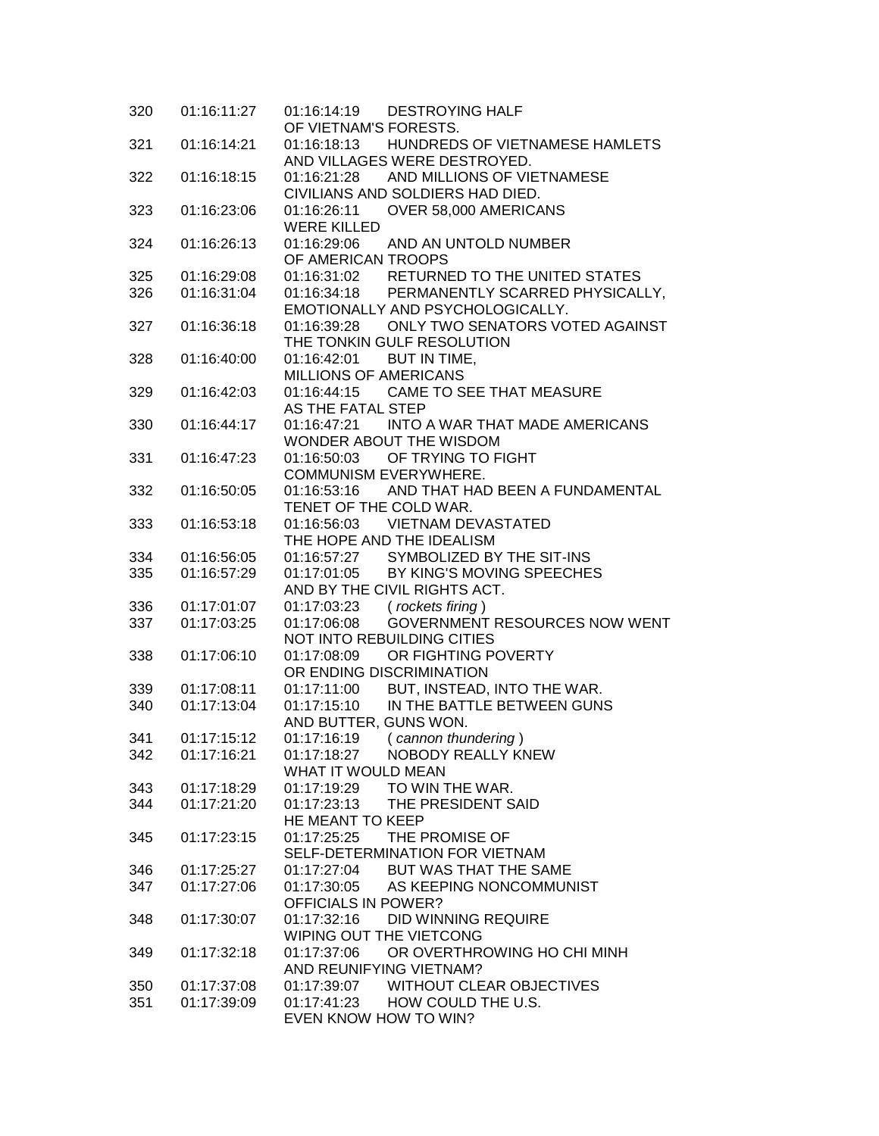| 320 | 01:16:11:27 | <b>DESTROYING HALF</b><br>01:16:14:19<br>OF VIETNAM'S FORESTS.            |
|-----|-------------|---------------------------------------------------------------------------|
| 321 | 01:16:14:21 | HUNDREDS OF VIETNAMESE HAMLETS<br>01:16:18:13                             |
|     |             | AND VILLAGES WERE DESTROYED.                                              |
| 322 | 01:16:18:15 | AND MILLIONS OF VIETNAMESE<br>01:16:21:28                                 |
|     |             | CIVILIANS AND SOLDIERS HAD DIED.                                          |
|     |             |                                                                           |
| 323 | 01:16:23:06 | OVER 58,000 AMERICANS<br>01:16:26:11<br><b>WERE KILLED</b>                |
| 324 | 01:16:26:13 | 01:16:29:06 AND AN UNTOLD NUMBER                                          |
|     |             | OF AMERICAN TROOPS                                                        |
| 325 | 01:16:29:08 | 01:16:31:02 RETURNED TO THE UNITED STATES                                 |
| 326 | 01:16:31:04 | 01:16:34:18 PERMANENTLY SCARRED PHYSICALLY,                               |
|     |             | EMOTIONALLY AND PSYCHOLOGICALLY.                                          |
| 327 | 01:16:36:18 | 01:16:39:28 ONLY TWO SENATORS VOTED AGAINST<br>THE TONKIN GULF RESOLUTION |
| 328 | 01:16:40:00 | 01:16:42:01 BUT IN TIME,                                                  |
|     |             | MILLIONS OF AMERICANS                                                     |
| 329 | 01:16:42:03 | 01:16:44:15 CAME TO SEE THAT MEASURE                                      |
|     |             | AS THE FATAL STEP                                                         |
| 330 | 01:16:44:17 | INTO A WAR THAT MADE AMERICANS<br>01:16:47:21                             |
|     |             | WONDER ABOUT THE WISDOM                                                   |
| 331 | 01:16:47:23 | OF TRYING TO FIGHT<br>01:16:50:03                                         |
|     |             | COMMUNISM EVERYWHERE.                                                     |
| 332 | 01:16:50:05 | 01:16:53:16 AND THAT HAD BEEN A FUNDAMENTAL                               |
|     |             | TENET OF THE COLD WAR.                                                    |
| 333 | 01:16:53:18 | 01:16:56:03 VIETNAM DEVASTATED                                            |
|     |             | THE HOPE AND THE IDEALISM                                                 |
| 334 | 01:16:56:05 | 01:16:57:27 SYMBOLIZED BY THE SIT-INS                                     |
| 335 | 01:16:57:29 | 01:17:01:05 BY KING'S MOVING SPEECHES                                     |
|     |             | AND BY THE CIVIL RIGHTS ACT.                                              |
| 336 | 01:17:01:07 | 01:17:03:23<br>(rockets firing)                                           |
| 337 | 01:17:03:25 | <b>GOVERNMENT RESOURCES NOW WENT</b><br>01:17:06:08                       |
|     |             | NOT INTO REBUILDING CITIES                                                |
| 338 | 01:17:06:10 | 01:17:08:09<br>OR FIGHTING POVERTY                                        |
|     |             | OR ENDING DISCRIMINATION                                                  |
| 339 | 01:17:08:11 | 01:17:11:00<br>BUT, INSTEAD, INTO THE WAR.                                |
| 340 | 01:17:13:04 | IN THE BATTLE BETWEEN GUNS<br>01:17:15:10                                 |
|     |             | AND BUTTER, GUNS WON.                                                     |
| 341 | 01:17:15:12 | 01:17:16:19<br>(cannon thundering)                                        |
| 342 | 01:17:16:21 | 01:17:18:27<br>NOBODY REALLY KNEW                                         |
|     |             | <b>WHAT IT WOULD MEAN</b>                                                 |
| 343 | 01:17:18:29 | 01:17:19:29<br>TO WIN THE WAR.                                            |
| 344 | 01:17:21:20 | 01:17:23:13<br>THE PRESIDENT SAID                                         |
|     |             | HE MEANT TO KEEP                                                          |
| 345 | 01:17:23:15 | THE PROMISE OF<br>01:17:25:25                                             |
|     |             | SELF-DETERMINATION FOR VIETNAM                                            |
| 346 | 01:17:25:27 | 01:17:27:04 BUT WAS THAT THE SAME                                         |
| 347 | 01:17:27:06 | 01:17:30:05 AS KEEPING NONCOMMUNIST                                       |
|     |             | <b>OFFICIALS IN POWER?</b>                                                |
| 348 | 01:17:30:07 | 01:17:32:16 DID WINNING REQUIRE                                           |
|     |             | WIPING OUT THE VIETCONG                                                   |
| 349 | 01:17:32:18 | 01:17:37:06<br>OR OVERTHROWING HO CHI MINH                                |
|     |             | AND REUNIFYING VIETNAM?                                                   |
| 350 | 01:17:37:08 | 01:17:39:07 WITHOUT CLEAR OBJECTIVES                                      |
| 351 | 01:17:39:09 | 01:17:41:23 HOW COULD THE U.S.                                            |
|     |             | EVEN KNOW HOW TO WIN?                                                     |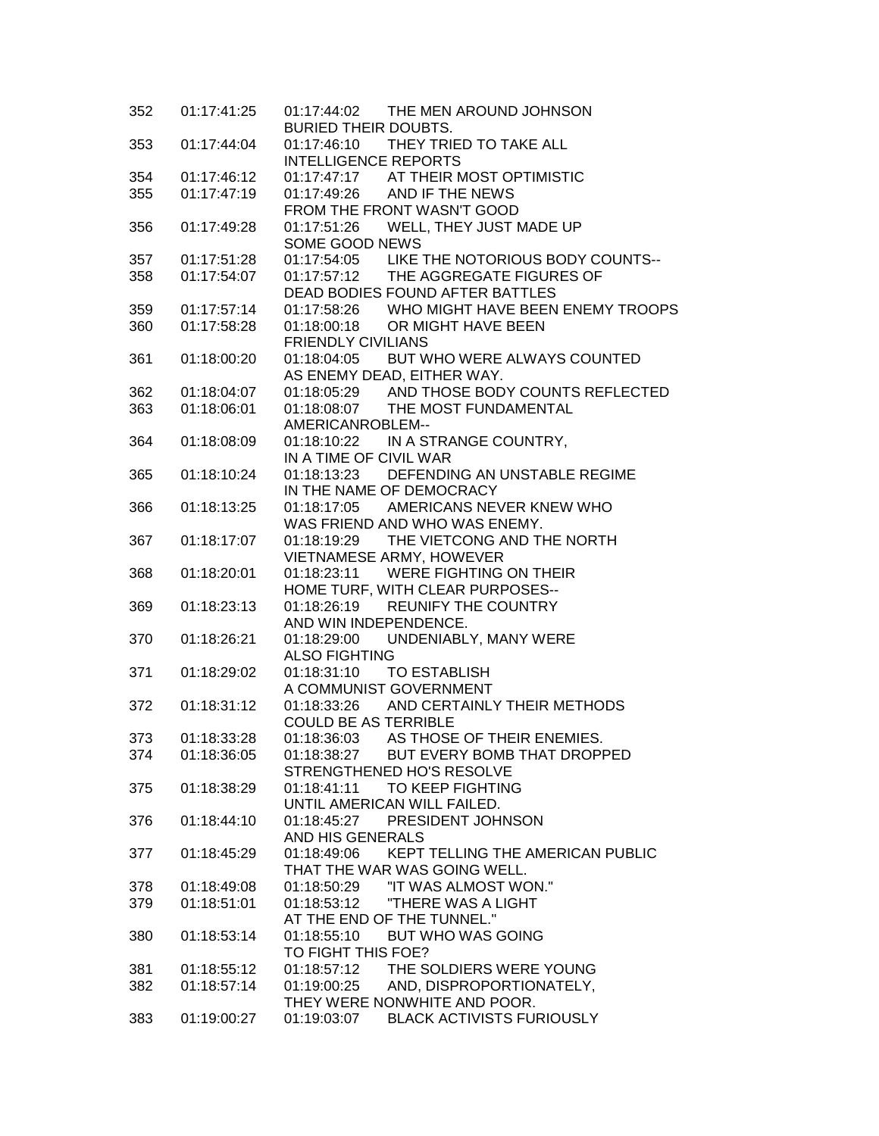| 352 | 01:17:41:25 | 01:17:44:02 THE MEN AROUND JOHNSON<br><b>BURIED THEIR DOUBTS.</b> |
|-----|-------------|-------------------------------------------------------------------|
| 353 | 01:17:44:04 | THEY TRIED TO TAKE ALL<br>01:17:46:10                             |
|     |             | <b>INTELLIGENCE REPORTS</b>                                       |
| 354 | 01:17:46:12 | 01:17:47:17 AT THEIR MOST OPTIMISTIC                              |
| 355 | 01:17:47:19 | 01:17:49:26 AND IF THE NEWS                                       |
|     |             | FROM THE FRONT WASN'T GOOD                                        |
| 356 | 01:17:49:28 | 01:17:51:26 WELL, THEY JUST MADE UP                               |
|     |             | SOME GOOD NEWS                                                    |
| 357 | 01:17:51:28 | 01:17:54:05 LIKE THE NOTORIOUS BODY COUNTS--                      |
| 358 | 01:17:54:07 | 01:17:57:12 THE AGGREGATE FIGURES OF                              |
|     |             | DEAD BODIES FOUND AFTER BATTLES                                   |
| 359 | 01:17:57:14 | 01:17:58:26 WHO MIGHT HAVE BEEN ENEMY TROOPS                      |
| 360 | 01:17:58:28 | 01:18:00:18 OR MIGHT HAVE BEEN                                    |
|     |             | <b>FRIENDLY CIVILIANS</b>                                         |
| 361 | 01:18:00:20 | 01:18:04:05 BUT WHO WERE ALWAYS COUNTED                           |
|     |             | AS ENEMY DEAD, EITHER WAY.                                        |
| 362 | 01:18:04:07 | 01:18:05:29 AND THOSE BODY COUNTS REFLECTED                       |
| 363 | 01:18:06:01 | 01:18:08:07 THE MOST FUNDAMENTAL                                  |
|     |             | AMERICANROBLEM--                                                  |
| 364 | 01:18:08:09 | 01:18:10:22 IN A STRANGE COUNTRY,                                 |
|     |             | IN A TIME OF CIVIL WAR                                            |
| 365 | 01:18:10:24 | 01:18:13:23 DEFENDING AN UNSTABLE REGIME                          |
|     |             | IN THE NAME OF DEMOCRACY                                          |
| 366 | 01:18:13:25 | 01:18:17:05 AMERICANS NEVER KNEW WHO                              |
|     |             | WAS FRIEND AND WHO WAS ENEMY.                                     |
| 367 | 01:18:17:07 | 01:18:19:29 THE VIETCONG AND THE NORTH                            |
|     |             | VIETNAMESE ARMY, HOWEVER                                          |
| 368 | 01:18:20:01 | 01:18:23:11 WERE FIGHTING ON THEIR                                |
|     |             | HOME TURF, WITH CLEAR PURPOSES--                                  |
| 369 | 01:18:23:13 | 01:18:26:19 REUNIFY THE COUNTRY                                   |
|     |             | AND WIN INDEPENDENCE.                                             |
| 370 | 01:18:26:21 | UNDENIABLY, MANY WERE<br>01:18:29:00                              |
|     |             | <b>ALSO FIGHTING</b>                                              |
| 371 | 01:18:29:02 | 01:18:31:10<br><b>TO ESTABLISH</b>                                |
|     |             | A COMMUNIST GOVERNMENT                                            |
| 372 | 01:18:31:12 | 01:18:33:26 AND CERTAINLY THEIR METHODS                           |
|     |             | <b>COULD BE AS TERRIBLE</b>                                       |
| 373 | 01:18:33:28 | 01:18:36:03<br>AS THOSE OF THEIR ENEMIES.                         |
| 374 | 01:18:36:05 | 01:18:38:27<br>BUT EVERY BOMB THAT DROPPED                        |
|     |             | STRENGTHENED HO'S RESOLVE                                         |
| 375 | 01:18:38:29 | 01:18:41:11<br>TO KEEP FIGHTING                                   |
|     |             | UNTIL AMERICAN WILL FAILED.                                       |
| 376 | 01:18:44:10 | 01:18:45:27<br>PRESIDENT JOHNSON                                  |
|     |             | AND HIS GENERALS                                                  |
| 377 | 01:18:45:29 | KEPT TELLING THE AMERICAN PUBLIC<br>01:18:49:06                   |
|     |             | THAT THE WAR WAS GOING WELL.                                      |
| 378 | 01:18:49:08 | "IT WAS ALMOST WON."<br>01:18:50:29                               |
| 379 | 01:18:51:01 | 01:18:53:12<br>"THERE WAS A LIGHT                                 |
|     |             | AT THE END OF THE TUNNEL."                                        |
| 380 | 01:18:53:14 | <b>BUT WHO WAS GOING</b><br>01:18:55:10                           |
|     |             | TO FIGHT THIS FOE?                                                |
| 381 | 01:18:55:12 | 01:18:57:12<br>THE SOLDIERS WERE YOUNG                            |
| 382 | 01:18:57:14 | 01:19:00:25<br>AND, DISPROPORTIONATELY,                           |
|     |             | THEY WERE NONWHITE AND POOR.                                      |
| 383 | 01:19:00:27 | <b>BLACK ACTIVISTS FURIOUSLY</b><br>01:19:03:07                   |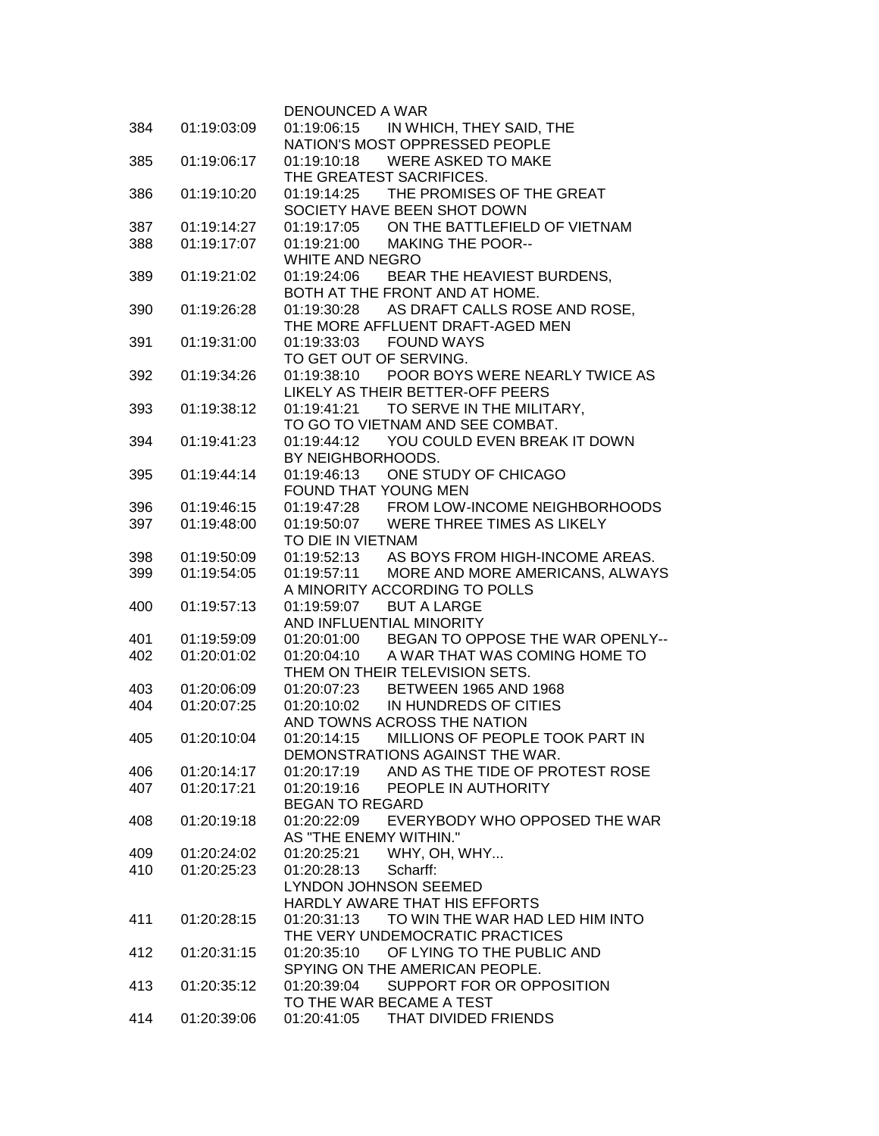|     |             | DENOUNCED A WAR                                |
|-----|-------------|------------------------------------------------|
| 384 | 01:19:03:09 | 01:19:06:15 IN WHICH, THEY SAID, THE           |
|     |             | NATION'S MOST OPPRESSED PEOPLE                 |
| 385 | 01:19:06:17 | 01:19:10:18 WERE ASKED TO MAKE                 |
|     |             | THE GREATEST SACRIFICES.                       |
| 386 | 01:19:10:20 | 01:19:14:25 THE PROMISES OF THE GREAT          |
|     |             | SOCIETY HAVE BEEN SHOT DOWN                    |
| 387 | 01:19:14:27 | 01:19:17:05 ON THE BATTLEFIELD OF VIETNAM      |
| 388 | 01:19:17:07 | 01:19:21:00 MAKING THE POOR--                  |
|     |             | WHITE AND NEGRO                                |
| 389 | 01:19:21:02 | 01:19:24:06 BEAR THE HEAVIEST BURDENS,         |
|     |             | BOTH AT THE FRONT AND AT HOME.                 |
| 390 | 01:19:26:28 | 01:19:30:28 AS DRAFT CALLS ROSE AND ROSE,      |
|     |             | THE MORE AFFLUENT DRAFT-AGED MEN               |
| 391 | 01:19:31:00 | 01:19:33:03    FOUND WAYS                      |
|     |             | TO GET OUT OF SERVING.                         |
| 392 | 01:19:34:26 | 01:19:38:10 POOR BOYS WERE NEARLY TWICE AS     |
|     |             | LIKELY AS THEIR BETTER-OFF PEERS               |
| 393 | 01:19:38:12 | 01:19:41:21 TO SERVE IN THE MILITARY,          |
|     |             | TO GO TO VIETNAM AND SEE COMBAT.               |
| 394 | 01:19:41:23 | 01:19:44:12  YOU COULD EVEN BREAK IT DOWN      |
|     |             | BY NEIGHBORHOODS.                              |
| 395 | 01:19:44:14 | 01:19:46:13 ONE STUDY OF CHICAGO               |
|     |             | FOUND THAT YOUNG MEN                           |
| 396 | 01:19:46:15 | 01:19:47:28 FROM LOW-INCOME NEIGHBORHOODS      |
| 397 | 01:19:48:00 | 01:19:50:07 WERE THREE TIMES AS LIKELY         |
|     |             | TO DIE IN VIETNAM                              |
| 398 | 01:19:50:09 | 01:19:52:13 AS BOYS FROM HIGH-INCOME AREAS.    |
| 399 | 01:19:54:05 | 01:19:57:11 MORE AND MORE AMERICANS, ALWAYS    |
|     |             | A MINORITY ACCORDING TO POLLS                  |
| 400 | 01:19:57:13 | 01:19:59:07<br><b>BUT A LARGE</b>              |
|     |             | AND INFLUENTIAL MINORITY                       |
| 401 | 01:19:59:09 | 01:20:01:00 BEGAN TO OPPOSE THE WAR OPENLY--   |
| 402 | 01:20:01:02 | 01:20:04:10<br>A WAR THAT WAS COMING HOME TO   |
|     |             | THEM ON THEIR TELEVISION SETS.                 |
| 403 | 01:20:06:09 | 01:20:07:23 BETWEEN 1965 AND 1968              |
| 404 | 01:20:07:25 | 01:20:10:02<br>IN HUNDREDS OF CITIES           |
|     |             | AND TOWNS ACROSS THE NATION                    |
| 405 | 01:20:10:04 | 01:20:14:15<br>MILLIONS OF PEOPLE TOOK PART IN |
|     |             | DEMONSTRATIONS AGAINST THE WAR.                |
| 406 | 01:20:14:17 | AND AS THE TIDE OF PROTEST ROSE<br>01:20:17:19 |
| 407 | 01:20:17:21 | 01:20:19:16<br>PEOPLE IN AUTHORITY             |
|     |             | <b>BEGAN TO REGARD</b>                         |
| 408 | 01:20:19:18 | EVERYBODY WHO OPPOSED THE WAR<br>01:20:22:09   |
|     |             | AS "THE ENEMY WITHIN."                         |
| 409 | 01:20:24:02 | 01:20:25:21<br>WHY, OH, WHY                    |
| 410 | 01:20:25:23 | 01:20:28:13<br>Scharff:                        |
|     |             | LYNDON JOHNSON SEEMED                          |
|     |             | HARDLY AWARE THAT HIS EFFORTS                  |
| 411 | 01:20:28:15 | 01:20:31:13<br>TO WIN THE WAR HAD LED HIM INTO |
|     |             | THE VERY UNDEMOCRATIC PRACTICES                |
| 412 | 01:20:31:15 | 01:20:35:10<br>OF LYING TO THE PUBLIC AND      |
|     |             | SPYING ON THE AMERICAN PEOPLE.                 |
| 413 | 01:20:35:12 | 01:20:39:04 SUPPORT FOR OR OPPOSITION          |
|     |             | TO THE WAR BECAME A TEST                       |
| 414 | 01:20:39:06 | 01:20:41:05 THAT DIVIDED FRIENDS               |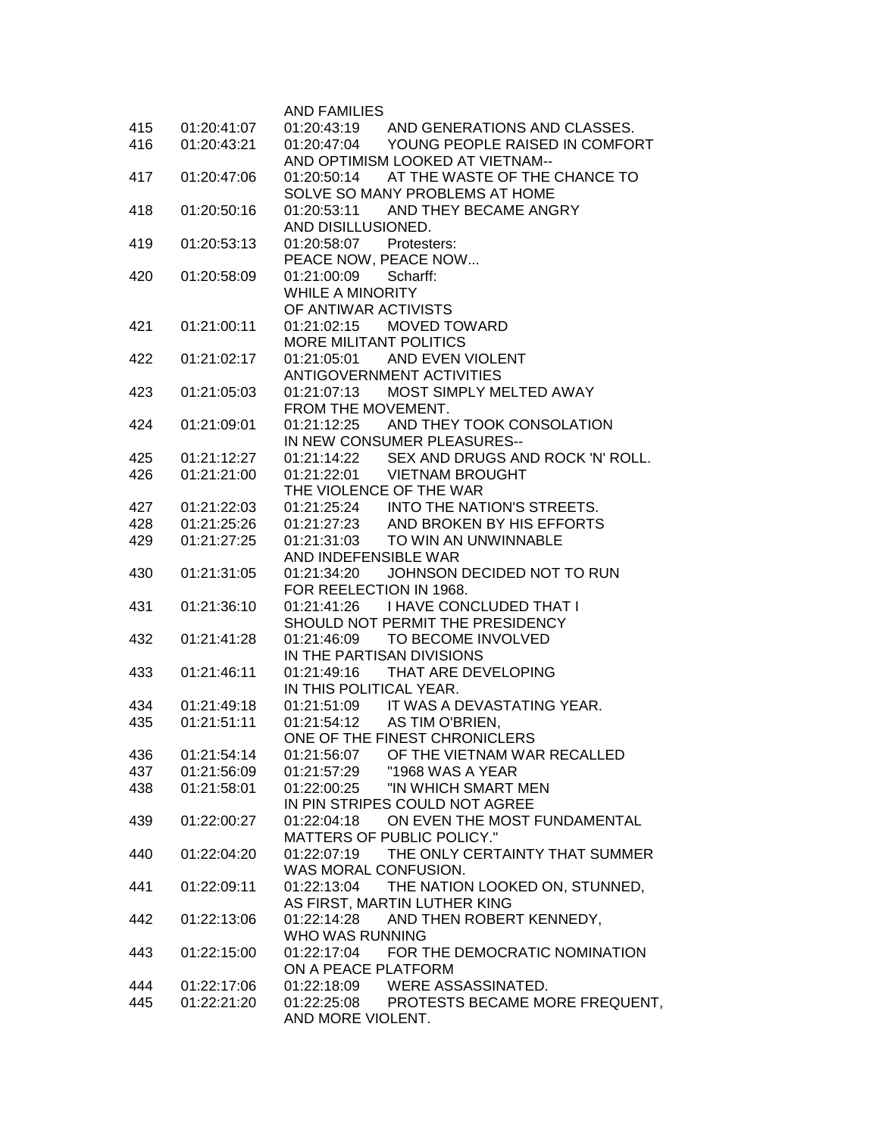|     |                            | <b>AND FAMILIES</b>                           |
|-----|----------------------------|-----------------------------------------------|
| 415 | 01:20:41:07                | 01:20:43:19 AND GENERATIONS AND CLASSES.      |
| 416 | 01:20:43:21                | 01:20:47:04<br>YOUNG PEOPLE RAISED IN COMFORT |
|     |                            | AND OPTIMISM LOOKED AT VIETNAM--              |
| 417 | 01:20:47:06                | 01:20:50:14 AT THE WASTE OF THE CHANCE TO     |
|     |                            | SOLVE SO MANY PROBLEMS AT HOME                |
| 418 | 01:20:50:16                | 01:20:53:11 AND THEY BECAME ANGRY             |
|     |                            | AND DISILLUSIONED.                            |
| 419 | 01:20:53:13                | 01:20:58:07 Protesters:                       |
|     |                            | PEACE NOW, PEACE NOW                          |
| 420 | 01:20:58:09                | 01:21:00:09 Scharff:                          |
|     |                            | WHILE A MINORITY                              |
|     |                            | OF ANTIWAR ACTIVISTS                          |
| 421 | 01:21:00:11                | 01:21:02:15 MOVED TOWARD                      |
|     |                            | <b>MORE MILITANT POLITICS</b>                 |
| 422 | 01:21:02:17                | AND EVEN VIOLENT<br>01:21:05:01               |
|     |                            | ANTIGOVERNMENT ACTIVITIES                     |
| 423 | 01:21:05:03                | MOST SIMPLY MELTED AWAY<br>01:21:07:13        |
|     |                            | FROM THE MOVEMENT.                            |
| 424 | 01:21:09:01                | 01:21:12:25 AND THEY TOOK CONSOLATION         |
|     |                            | IN NEW CONSUMER PLEASURES--                   |
| 425 | 01:21:12:27                | 01:21:14:22 SEX AND DRUGS AND ROCK 'N' ROLL.  |
| 426 | 01:21:21:00                | 01:21:22:01 VIETNAM BROUGHT                   |
|     |                            | THE VIOLENCE OF THE WAR                       |
| 427 | 01:21:22:03                | 01:21:25:24 INTO THE NATION'S STREETS.        |
| 428 | 01:21:25:26                | 01:21:27:23 AND BROKEN BY HIS EFFORTS         |
| 429 | 01:21:27:25                | 01:21:31:03<br>TO WIN AN UNWINNABLE           |
|     |                            | AND INDEFENSIBLE WAR                          |
| 430 | 01:21:31:05                | 01:21:34:20<br>JOHNSON DECIDED NOT TO RUN     |
|     |                            | FOR REELECTION IN 1968.                       |
| 431 | 01:21:36:10                | 01:21:41:26 I HAVE CONCLUDED THAT I           |
|     |                            | SHOULD NOT PERMIT THE PRESIDENCY              |
| 432 | 01:21:41:28                | 01:21:46:09 TO BECOME INVOLVED                |
|     |                            | IN THE PARTISAN DIVISIONS                     |
| 433 | 01:21:46:11                | 01:21:49:16 THAT ARE DEVELOPING               |
|     |                            | IN THIS POLITICAL YEAR.                       |
| 434 | 01:21:49:18                | 01:21:51:09 IT WAS A DEVASTATING YEAR.        |
| 435 | 01:21:51:11                | 01:21:54:12 AS TIM O'BRIEN,                   |
|     |                            | ONE OF THE FINEST CHRONICLERS                 |
| 436 | 01:21:54:14                | 01:21:56:07<br>OF THE VIETNAM WAR RECALLED    |
| 437 | 01:21:56:09                | 01:21:57:29<br>"1968 WAS A YEAR               |
| 438 | 01:21:58:01                | 01:22:00:25<br>"IN WHICH SMART MEN            |
|     |                            | IN PIN STRIPES COULD NOT AGREE                |
| 439 | 01:22:00:27                | 01:22:04:18 ON EVEN THE MOST FUNDAMENTAL      |
|     |                            | <b>MATTERS OF PUBLIC POLICY."</b>             |
| 440 | 01:22:04:20                | 01:22:07:19 THE ONLY CERTAINTY THAT SUMMER    |
|     |                            | WAS MORAL CONFUSION.                          |
| 441 | 01:22:09:11                | 01:22:13:04 THE NATION LOOKED ON, STUNNED,    |
|     |                            | AS FIRST, MARTIN LUTHER KING                  |
| 442 | 01:22:13:06                | AND THEN ROBERT KENNEDY,<br>01:22:14:28       |
|     |                            | WHO WAS RUNNING                               |
| 443 | 01:22:15:00                | 01:22:17:04 FOR THE DEMOCRATIC NOMINATION     |
|     |                            | ON A PEACE PLATFORM                           |
| 444 | 01:22:17:06<br>01:22:21:20 | 01:22:18:09 WERE ASSASSINATED.                |
| 445 |                            | 01:22:25:08 PROTESTS BECAME MORE FREQUENT,    |
|     |                            | AND MORE VIOLENT.                             |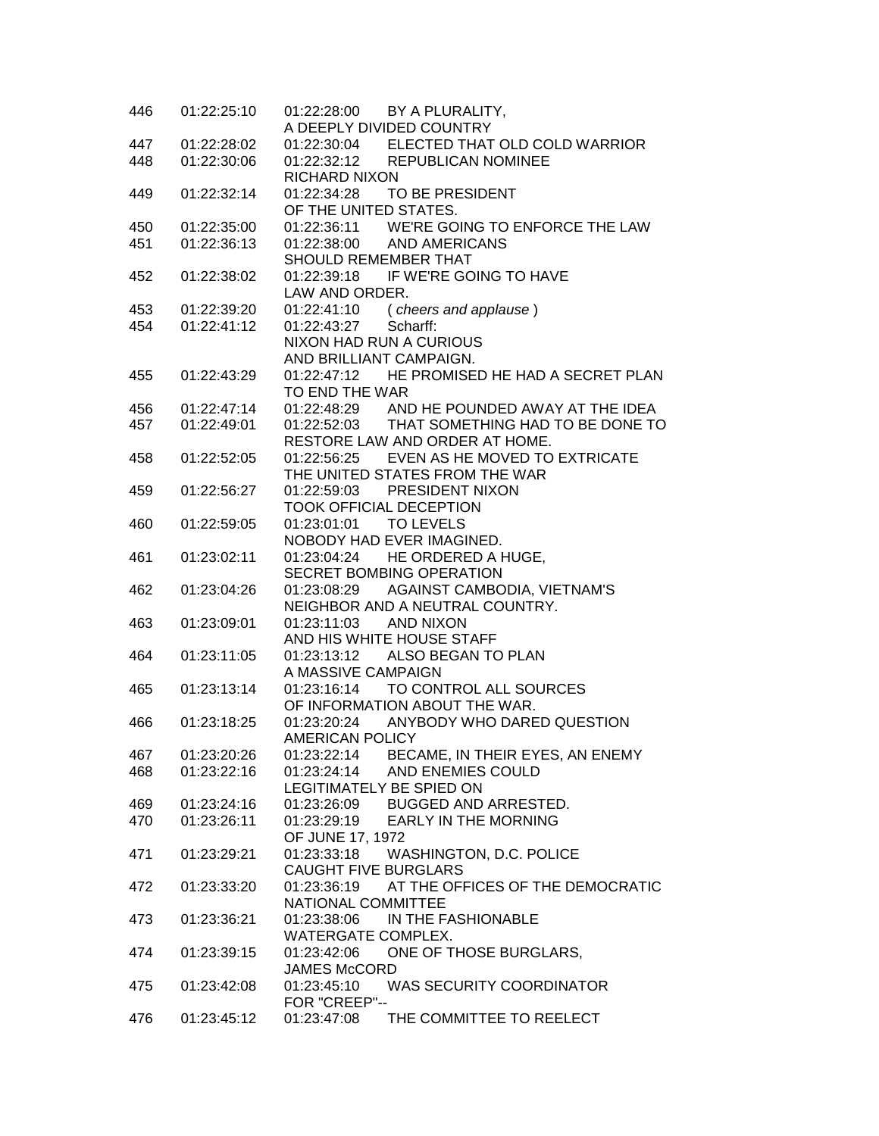| 446        | 01:22:25:10 | 01:22:28:00 BY A PLURALITY,                  |
|------------|-------------|----------------------------------------------|
|            |             | A DEEPLY DIVIDED COUNTRY                     |
| 447        | 01:22:28:02 | 01:22:30:04 ELECTED THAT OLD COLD WARRIOR    |
| 448        | 01:22:30:06 | 01:22:32:12 REPUBLICAN NOMINEE               |
|            |             | <b>RICHARD NIXON</b>                         |
| 449        | 01:22:32:14 | 01:22:34:28 TO BE PRESIDENT                  |
|            |             | OF THE UNITED STATES.                        |
| 450        | 01:22:35:00 | 01:22:36:11 WE'RE GOING TO ENFORCE THE LAW   |
| 451        | 01:22:36:13 | 01:22:38:00 AND AMERICANS                    |
|            |             | SHOULD REMEMBER THAT                         |
| 452        | 01:22:38:02 | 01:22:39:18 IF WE'RE GOING TO HAVE           |
|            |             | LAW AND ORDER.                               |
| 453        | 01:22:39:20 | 01:22:41:10 (cheers and applause)            |
| 454        | 01:22:41:12 | 01:22:43:27<br>Scharff:                      |
|            |             | NIXON HAD RUN A CURIOUS                      |
|            |             | AND BRILLIANT CAMPAIGN.                      |
| 455        | 01:22:43:29 | 01:22:47:12 HE PROMISED HE HAD A SECRET PLAN |
|            |             | TO END THE WAR                               |
|            | 01:22:47:14 | 01:22:48:29 AND HE POUNDED AWAY AT THE IDEA  |
| 456<br>457 |             |                                              |
|            | 01:22:49:01 | 01:22:52:03 THAT SOMETHING HAD TO BE DONE TO |
|            |             | RESTORE LAW AND ORDER AT HOME.               |
| 458        | 01:22:52:05 | 01:22:56:25 EVEN AS HE MOVED TO EXTRICATE    |
|            |             | THE UNITED STATES FROM THE WAR               |
| 459        | 01:22:56:27 | 01:22:59:03 PRESIDENT NIXON                  |
|            |             | <b>TOOK OFFICIAL DECEPTION</b>               |
| 460        | 01:22:59:05 | 01:23:01:01 TO LEVELS                        |
|            |             | NOBODY HAD EVER IMAGINED.                    |
| 461        | 01:23:02:11 | 01:23:04:24 HE ORDERED A HUGE,               |
|            |             | SECRET BOMBING OPERATION                     |
| 462        | 01:23:04:26 | 01:23:08:29 AGAINST CAMBODIA, VIETNAM'S      |
|            |             | NEIGHBOR AND A NEUTRAL COUNTRY.              |
| 463        | 01:23:09:01 | 01:23:11:03<br><b>AND NIXON</b>              |
|            |             | AND HIS WHITE HOUSE STAFF                    |
| 464        | 01:23:11:05 | 01:23:13:12 ALSO BEGAN TO PLAN               |
|            |             | A MASSIVE CAMPAIGN                           |
| 465        | 01:23:13:14 | 01:23:16:14 TO CONTROL ALL SOURCES           |
|            |             | OF INFORMATION ABOUT THE WAR.                |
| 466        | 01:23:18:25 | 01:23:20:24 ANYBODY WHO DARED QUESTION       |
|            |             | AMERICAN POLICY                              |
| 467        | 01:23:20:26 | 01:23:22:14 BECAME, IN THEIR EYES, AN ENEMY  |
| 468        | 01:23:22:16 | 01:23:24:14<br>AND ENEMIES COULD             |
|            |             | LEGITIMATELY BE SPIED ON                     |
| 469        | 01:23:24:16 | 01:23:26:09<br>BUGGED AND ARRESTED.          |
| 470        | 01:23:26:11 | 01:23:29:19 EARLY IN THE MORNING             |
|            |             | OF JUNE 17, 1972                             |
| 471        | 01:23:29:21 | 01:23:33:18<br>WASHINGTON, D.C. POLICE       |
|            |             | <b>CAUGHT FIVE BURGLARS</b>                  |
| 472.       | 01:23:33:20 | 01:23:36:19 AT THE OFFICES OF THE DEMOCRATIC |
|            |             | NATIONAL COMMITTEE                           |
| 473        | 01:23:36:21 | 01:23:38:06 IN THE FASHIONABLE               |
|            |             | WATERGATE COMPLEX.                           |
| 474        | 01:23:39:15 | 01:23:42:06 ONE OF THOSE BURGLARS,           |
|            |             | <b>JAMES McCORD</b>                          |
| 475        | 01:23:42:08 | 01:23:45:10<br>WAS SECURITY COORDINATOR      |
|            |             | FOR "CREEP"--                                |
| 476        | 01:23:45:12 | 01:23:47:08 THE COMMITTEE TO REELECT         |
|            |             |                                              |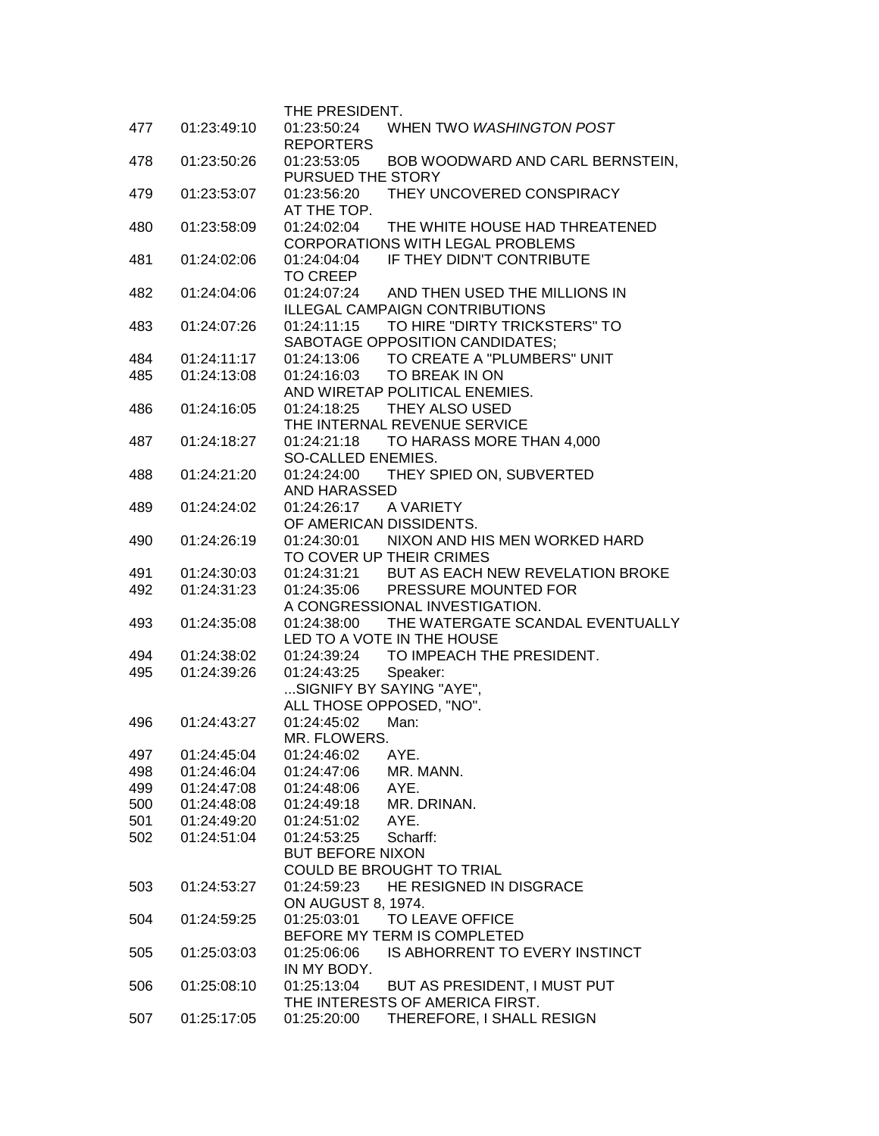|     |             | THE PRESIDENT.                                  |
|-----|-------------|-------------------------------------------------|
| 477 | 01:23:49:10 | 01:23:50:24<br>WHEN TWO WASHINGTON POST         |
|     |             | <b>REPORTERS</b>                                |
| 478 | 01:23:50:26 | 01:23:53:05<br>BOB WOODWARD AND CARL BERNSTEIN, |
|     |             | PURSUED THE STORY                               |
| 479 | 01:23:53:07 | THEY UNCOVERED CONSPIRACY<br>01:23:56:20        |
|     |             | AT THE TOP.                                     |
| 480 | 01:23:58:09 | 01:24:02:04<br>THE WHITE HOUSE HAD THREATENED   |
|     |             | <b>CORPORATIONS WITH LEGAL PROBLEMS</b>         |
|     |             | IF THEY DIDN'T CONTRIBUTE<br>01:24:04:04        |
| 481 | 01:24:02:06 | <b>TO CREEP</b>                                 |
|     |             |                                                 |
| 482 | 01:24:04:06 | 01:24:07:24<br>AND THEN USED THE MILLIONS IN    |
|     |             | <b>ILLEGAL CAMPAIGN CONTRIBUTIONS</b>           |
| 483 | 01:24:07:26 | TO HIRE "DIRTY TRICKSTERS" TO<br>01:24:11:15    |
|     |             | SABOTAGE OPPOSITION CANDIDATES;                 |
| 484 | 01:24:11:17 | TO CREATE A "PLUMBERS" UNIT<br>01:24:13:06      |
| 485 | 01:24:13:08 | 01:24:16:03<br>TO BREAK IN ON                   |
|     |             | AND WIRETAP POLITICAL ENEMIES.                  |
| 486 | 01:24:16:05 | THEY ALSO USED<br>01:24:18:25                   |
|     |             | THE INTERNAL REVENUE SERVICE                    |
| 487 | 01:24:18:27 | 01:24:21:18<br>TO HARASS MORE THAN 4,000        |
|     |             | SO-CALLED ENEMIES.                              |
| 488 | 01:24:21:20 | THEY SPIED ON, SUBVERTED<br>01:24:24:00         |
|     |             | AND HARASSED                                    |
| 489 | 01:24:24:02 | 01:24:26:17<br>A VARIETY                        |
|     |             | OF AMERICAN DISSIDENTS.                         |
| 490 | 01:24:26:19 | 01:24:30:01<br>NIXON AND HIS MEN WORKED HARD    |
|     |             | TO COVER UP THEIR CRIMES                        |
| 491 | 01:24:30:03 | 01:24:31:21 BUT AS EACH NEW REVELATION BROKE    |
| 492 | 01:24:31:23 | 01:24:35:06 PRESSURE MOUNTED FOR                |
|     |             |                                                 |
|     |             | A CONGRESSIONAL INVESTIGATION.                  |
| 493 | 01:24:35:08 | 01:24:38:00<br>THE WATERGATE SCANDAL EVENTUALLY |
|     |             | LED TO A VOTE IN THE HOUSE                      |
| 494 | 01:24:38:02 | 01:24:39:24 TO IMPEACH THE PRESIDENT.           |
| 495 | 01:24:39:26 | Speaker:<br>01:24:43:25                         |
|     |             | SIGNIFY BY SAYING "AYE",                        |
|     |             | ALL THOSE OPPOSED, "NO".                        |
| 496 | 01:24:43:27 | 01:24:45:02<br>Man:                             |
|     |             | MR. FLOWERS.                                    |
| 497 | 01:24:45:04 | 01:24:46:02<br>AYE.                             |
| 498 | 01:24:46:04 | 01:24:47:06<br>MR. MANN.                        |
| 499 | 01:24:47:08 | 01:24:48:06<br>AYE.                             |
| 500 | 01:24:48:08 | 01:24:49:18<br>MR. DRINAN.                      |
| 501 | 01:24:49:20 | 01:24:51:02<br>AYE.                             |
| 502 | 01:24:51:04 | 01:24:53:25<br>Scharff:                         |
|     |             | <b>BUT BEFORE NIXON</b>                         |
|     |             | COULD BE BROUGHT TO TRIAL                       |
| 503 | 01:24:53:27 | HE RESIGNED IN DISGRACE<br>01:24:59:23          |
|     |             | <b>ON AUGUST 8, 1974.</b>                       |
| 504 | 01:24:59:25 | 01:25:03:01<br>TO LEAVE OFFICE                  |
|     |             | BEFORE MY TERM IS COMPLETED                     |
|     |             |                                                 |
| 505 | 01:25:03:03 | IS ABHORRENT TO EVERY INSTINCT<br>01:25:06:06   |
|     |             | IN MY BODY.                                     |
| 506 | 01:25:08:10 | 01:25:13:04<br>BUT AS PRESIDENT, I MUST PUT     |
|     |             | THE INTERESTS OF AMERICA FIRST.                 |
| 507 | 01:25:17:05 | 01:25:20:00<br>THEREFORE, I SHALL RESIGN        |